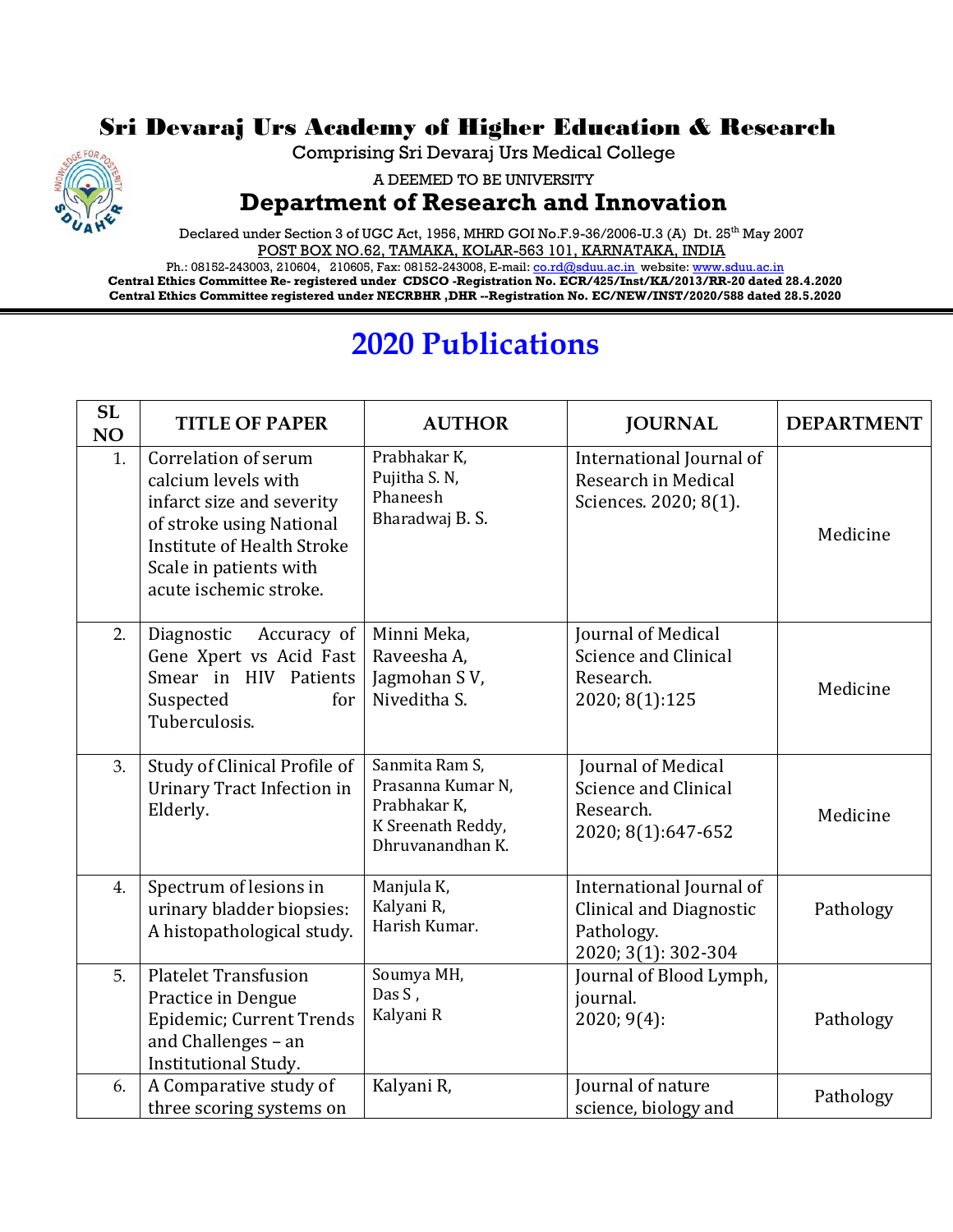## Sri Devaraj Urs Academy of Higher Education & Research



A DEEMED TO BE UNIVERSITY

## **Department of Research and Innovation**

Declared under Section 3 of UGC Act, 1956, MHRD GOI No.F.9-36/2006-U.3 (A) Dt. 25<sup>th</sup> May 2007 POST BOX NO.62, TAMAKA, KOLAR-563 101, KARNATAKA, INDIA

Ph.: 08152-243003, 210604, 210605, Fax: 08152-243008, E-mail[: co.rd@sduu.ac.in](mailto:co.rd@sduu.ac.in) website[: www.sduu.ac.in](http://www.sduu.ac.in/) **Central Ethics Committee Re- registered under CDSCO -Registration No. ECR/425/Inst/KA/2013/RR-20 dated 28.4.2020 Central Ethics Committee registered under NECRBHR ,DHR --Registration No. EC/NEW/INST/2020/588 dated 28.5.2020**

## **2020 Publications**

| <b>SL</b><br>NO | <b>TITLE OF PAPER</b>                                                                                                                                                                         | <b>AUTHOR</b>                                                                                | <b>JOURNAL</b>                                                                                  | <b>DEPARTMENT</b> |
|-----------------|-----------------------------------------------------------------------------------------------------------------------------------------------------------------------------------------------|----------------------------------------------------------------------------------------------|-------------------------------------------------------------------------------------------------|-------------------|
| 1.              | Correlation of serum<br>calcium levels with<br>infarct size and severity<br>of stroke using National<br><b>Institute of Health Stroke</b><br>Scale in patients with<br>acute ischemic stroke. | Prabhakar K,<br>Pujitha S. N,<br>Phaneesh<br>Bharadwaj B.S.                                  | International Journal of<br>Research in Medical<br>Sciences. 2020; 8(1).                        | Medicine          |
| 2.              | Diagnostic<br>Accuracy of<br>Gene Xpert vs Acid Fast<br>Smear in HIV Patients<br>Suspected<br>for<br>Tuberculosis.                                                                            | Minni Meka,<br>Raveesha A,<br>Jagmohan SV,<br>Niveditha S.                                   | Journal of Medical<br>Science and Clinical<br>Research.<br>2020; 8(1):125                       | Medicine          |
| 3.              | Study of Clinical Profile of<br><b>Urinary Tract Infection in</b><br>Elderly.                                                                                                                 | Sanmita Ram S,<br>Prasanna Kumar N,<br>Prabhakar K,<br>K Sreenath Reddy,<br>Dhruvanandhan K. | Journal of Medical<br><b>Science and Clinical</b><br>Research.<br>2020; 8(1):647-652            | Medicine          |
| 4.              | Spectrum of lesions in<br>urinary bladder biopsies:<br>A histopathological study.                                                                                                             | Manjula K,<br>Kalyani R,<br>Harish Kumar.                                                    | International Journal of<br><b>Clinical and Diagnostic</b><br>Pathology.<br>2020; 3(1): 302-304 | Pathology         |
| 5.              | <b>Platelet Transfusion</b><br>Practice in Dengue<br>Epidemic; Current Trends<br>and Challenges - an<br><b>Institutional Study.</b>                                                           | Soumya MH,<br>Das S,<br>Kalyani R                                                            | Journal of Blood Lymph,<br>journal.<br>2020; 9(4):                                              | Pathology         |
| 6.              | A Comparative study of<br>three scoring systems on                                                                                                                                            | Kalyani R,                                                                                   | Journal of nature<br>science, biology and                                                       | Pathology         |

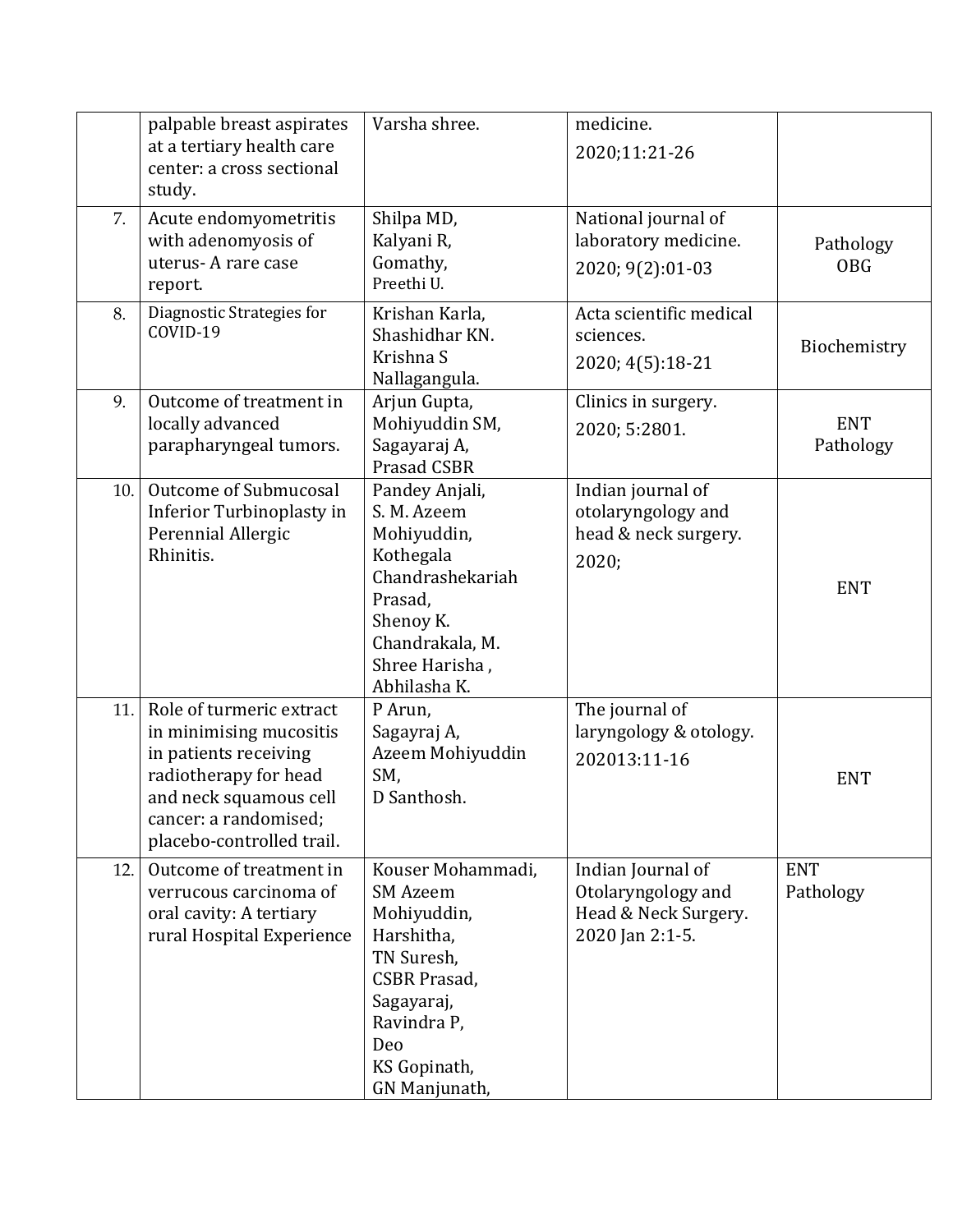|     | palpable breast aspirates<br>at a tertiary health care<br>center: a cross sectional<br>study.                                                                                         | Varsha shree.                                                                                                                                                               | medicine.<br>2020;11:21-26                                                         |                         |
|-----|---------------------------------------------------------------------------------------------------------------------------------------------------------------------------------------|-----------------------------------------------------------------------------------------------------------------------------------------------------------------------------|------------------------------------------------------------------------------------|-------------------------|
| 7.  | Acute endomyometritis<br>with adenomyosis of<br>uterus-A rare case<br>report.                                                                                                         | Shilpa MD,<br>Kalyani R,<br>Gomathy,<br>Preethi U.                                                                                                                          | National journal of<br>laboratory medicine.<br>2020; 9(2):01-03                    | Pathology<br><b>OBG</b> |
| 8.  | Diagnostic Strategies for<br>COVID-19                                                                                                                                                 | Krishan Karla,<br>Shashidhar KN.<br>Krishna S<br>Nallagangula.                                                                                                              | Acta scientific medical<br>sciences.<br>2020; 4(5):18-21                           | Biochemistry            |
| 9.  | Outcome of treatment in<br>locally advanced<br>parapharyngeal tumors.                                                                                                                 | Arjun Gupta,<br>Mohiyuddin SM,<br>Sagayaraj A,<br><b>Prasad CSBR</b>                                                                                                        | Clinics in surgery.<br>2020; 5:2801.                                               | <b>ENT</b><br>Pathology |
| 10. | Outcome of Submucosal<br>Inferior Turbinoplasty in<br>Perennial Allergic<br>Rhinitis.                                                                                                 | Pandey Anjali,<br>S. M. Azeem<br>Mohiyuddin,<br>Kothegala<br>Chandrashekariah<br>Prasad,<br>Shenoy K.<br>Chandrakala, M.<br>Shree Harisha,<br>Abhilasha K.                  | Indian journal of<br>otolaryngology and<br>head & neck surgery.<br>2020;           | <b>ENT</b>              |
| 11. | Role of turmeric extract<br>in minimising mucositis<br>in patients receiving<br>radiotherapy for head<br>and neck squamous cell<br>cancer: a randomised;<br>placebo-controlled trail. | P Arun,<br>Sagayraj A,<br>Azeem Mohiyuddin<br>SM,<br>D Santhosh.                                                                                                            | The journal of<br>laryngology & otology.<br>202013:11-16                           | <b>ENT</b>              |
| 12. | Outcome of treatment in<br>verrucous carcinoma of<br>oral cavity: A tertiary<br>rural Hospital Experience                                                                             | Kouser Mohammadi,<br><b>SM Azeem</b><br>Mohiyuddin,<br>Harshitha,<br>TN Suresh,<br><b>CSBR Prasad,</b><br>Sagayaraj,<br>Ravindra P,<br>Deo<br>KS Gopinath,<br>GN Manjunath, | Indian Journal of<br>Otolaryngology and<br>Head & Neck Surgery.<br>2020 Jan 2:1-5. | <b>ENT</b><br>Pathology |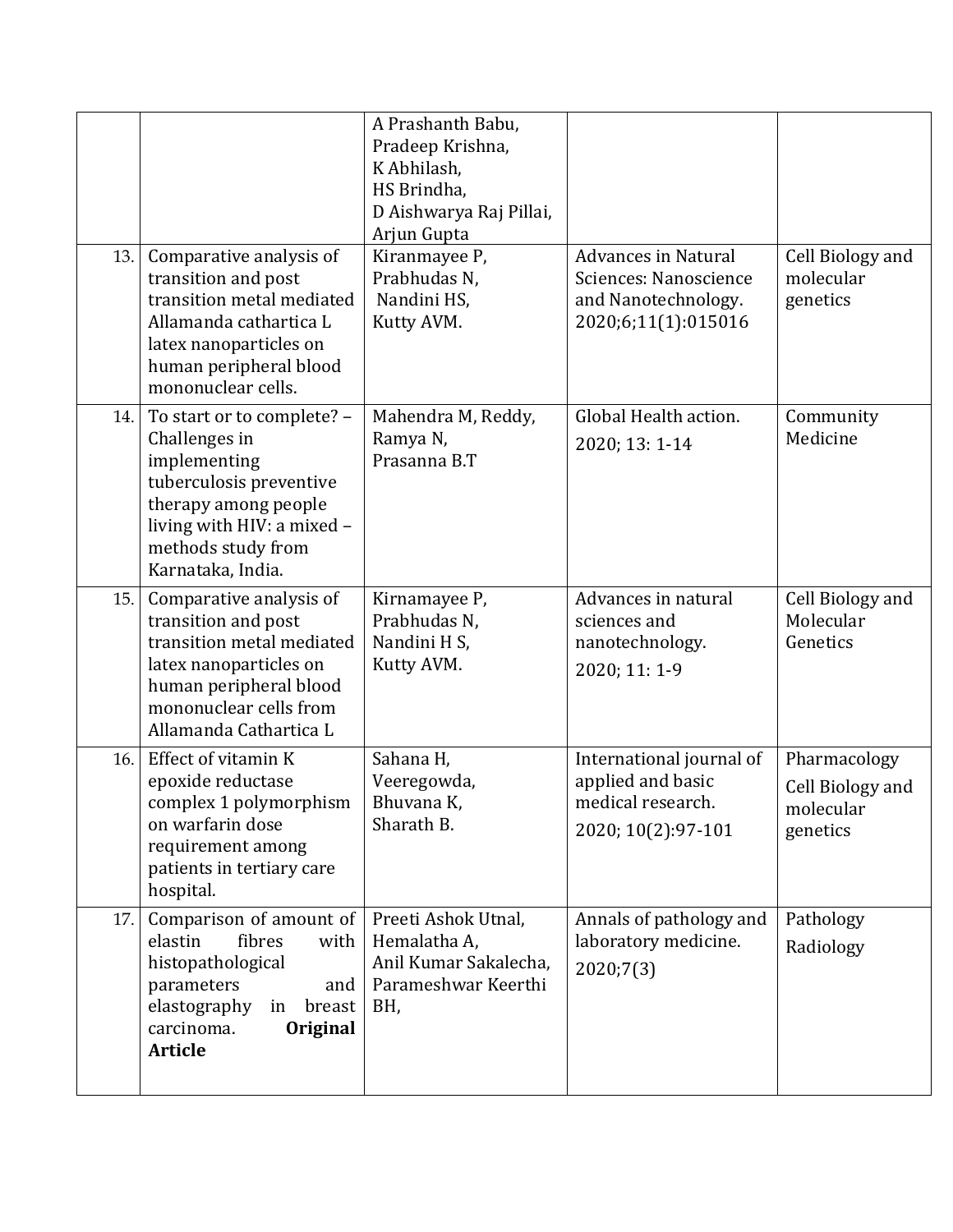| 13. | Comparative analysis of<br>transition and post<br>transition metal mediated<br>Allamanda cathartica L                                                                                   | A Prashanth Babu,<br>Pradeep Krishna,<br>K Abhilash,<br>HS Brindha,<br>D Aishwarya Raj Pillai,<br>Arjun Gupta<br>Kiranmayee P,<br>Prabhudas N,<br>Nandini HS,<br>Kutty AVM. | <b>Advances in Natural</b><br>Sciences: Nanoscience<br>and Nanotechnology.<br>2020;6;11(1):015016 | Cell Biology and<br>molecular<br>genetics                 |
|-----|-----------------------------------------------------------------------------------------------------------------------------------------------------------------------------------------|-----------------------------------------------------------------------------------------------------------------------------------------------------------------------------|---------------------------------------------------------------------------------------------------|-----------------------------------------------------------|
|     | latex nanoparticles on<br>human peripheral blood<br>mononuclear cells.                                                                                                                  |                                                                                                                                                                             |                                                                                                   |                                                           |
| 14. | To start or to complete? -<br>Challenges in<br>implementing<br>tuberculosis preventive<br>therapy among people<br>living with HIV: a mixed -<br>methods study from<br>Karnataka, India. | Mahendra M, Reddy,<br>Ramya N,<br>Prasanna B.T                                                                                                                              | Global Health action.<br>2020; 13: 1-14                                                           | Community<br>Medicine                                     |
| 15. | Comparative analysis of<br>transition and post<br>transition metal mediated<br>latex nanoparticles on<br>human peripheral blood<br>mononuclear cells from<br>Allamanda Cathartica L     | Kirnamayee P,<br>Prabhudas N,<br>Nandini H S,<br>Kutty AVM.                                                                                                                 | Advances in natural<br>sciences and<br>nanotechnology.<br>2020; 11: 1-9                           | Cell Biology and<br>Molecular<br>Genetics                 |
| 16. | Effect of vitamin K<br>epoxide reductase<br>complex 1 polymorphism<br>on warfarin dose<br>requirement among<br>patients in tertiary care<br>hospital.                                   | Sahana H,<br>Veeregowda,<br>Bhuvana K,<br>Sharath B.                                                                                                                        | International journal of<br>applied and basic<br>medical research.<br>2020; 10(2):97-101          | Pharmacology<br>Cell Biology and<br>molecular<br>genetics |
| 17. | Comparison of amount of<br>fibres<br>elastin<br>with<br>histopathological<br>parameters<br>and<br>elastography<br>in<br>breast<br>carcinoma.<br>Original<br><b>Article</b>              | Preeti Ashok Utnal,<br>Hemalatha A,<br>Anil Kumar Sakalecha,<br>Parameshwar Keerthi<br>BH,                                                                                  | Annals of pathology and<br>laboratory medicine.<br>2020;7(3)                                      | Pathology<br>Radiology                                    |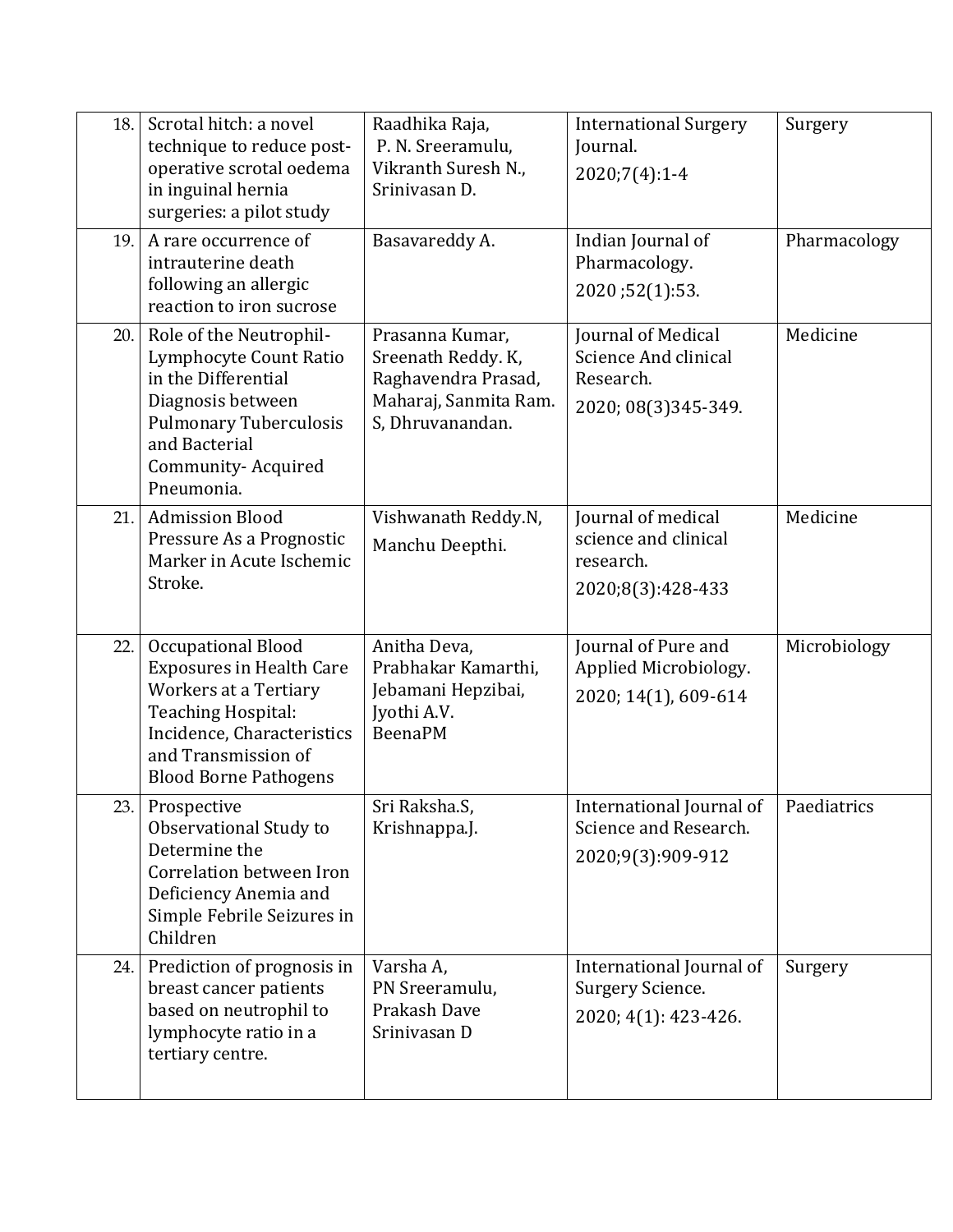| 18. | Scrotal hitch: a novel<br>technique to reduce post-<br>operative scrotal oedema<br>in inguinal hernia<br>surgeries: a pilot study                                                         | Raadhika Raja,<br>P. N. Sreeramulu,<br>Vikranth Suresh N.,<br>Srinivasan D.                               | <b>International Surgery</b><br>Journal.<br>$2020;7(4):1-4$                    | Surgery      |
|-----|-------------------------------------------------------------------------------------------------------------------------------------------------------------------------------------------|-----------------------------------------------------------------------------------------------------------|--------------------------------------------------------------------------------|--------------|
| 19. | A rare occurrence of<br>intrauterine death<br>following an allergic<br>reaction to iron sucrose                                                                                           | Basavareddy A.                                                                                            | Indian Journal of<br>Pharmacology.<br>2020;52(1):53.                           | Pharmacology |
| 20. | Role of the Neutrophil-<br>Lymphocyte Count Ratio<br>in the Differential<br>Diagnosis between<br><b>Pulmonary Tuberculosis</b><br>and Bacterial<br>Community-Acquired<br>Pneumonia.       | Prasanna Kumar,<br>Sreenath Reddy. K,<br>Raghavendra Prasad,<br>Maharaj, Sanmita Ram.<br>S, Dhruvanandan. | Journal of Medical<br>Science And clinical<br>Research.<br>2020; 08(3)345-349. | Medicine     |
| 21. | <b>Admission Blood</b><br>Pressure As a Prognostic<br>Marker in Acute Ischemic<br>Stroke.                                                                                                 | Vishwanath Reddy.N,<br>Manchu Deepthi.                                                                    | Journal of medical<br>science and clinical<br>research.<br>2020;8(3):428-433   | Medicine     |
| 22. | Occupational Blood<br><b>Exposures in Health Care</b><br>Workers at a Tertiary<br>Teaching Hospital:<br>Incidence, Characteristics<br>and Transmission of<br><b>Blood Borne Pathogens</b> | Anitha Deva,<br>Prabhakar Kamarthi,<br>Jebamani Hepzibai,<br>Jyothi A.V.<br><b>BeenaPM</b>                | Journal of Pure and<br>Applied Microbiology.<br>2020; 14(1), 609-614           | Microbiology |
|     | 23. Prospective<br>Observational Study to<br>Determine the<br>Correlation between Iron<br>Deficiency Anemia and<br>Simple Febrile Seizures in<br>Children                                 | Sri Raksha.S,<br>Krishnappa.J.                                                                            | International Journal of<br>Science and Research.<br>2020;9(3):909-912         | Paediatrics  |
| 24. | Prediction of prognosis in<br>breast cancer patients<br>based on neutrophil to<br>lymphocyte ratio in a<br>tertiary centre.                                                               | Varsha A,<br>PN Sreeramulu,<br>Prakash Dave<br>Srinivasan D                                               | International Journal of<br>Surgery Science.<br>2020; 4(1): 423-426.           | Surgery      |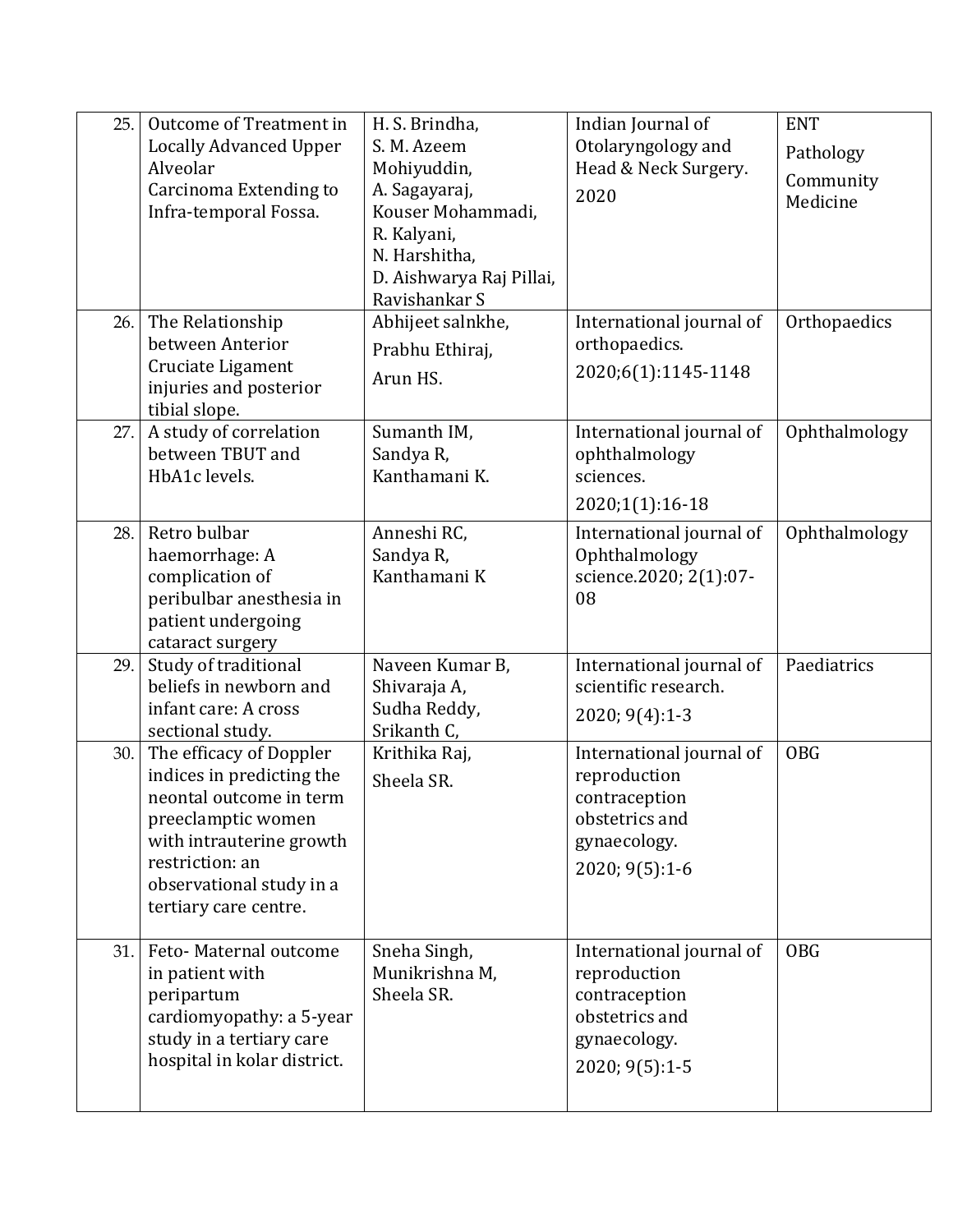| 25. | Outcome of Treatment in<br><b>Locally Advanced Upper</b><br>Alveolar<br>Carcinoma Extending to<br>Infra-temporal Fossa.                                                                                   | H. S. Brindha,<br>S. M. Azeem<br>Mohiyuddin,<br>A. Sagayaraj,<br>Kouser Mohammadi,<br>R. Kalyani,<br>N. Harshitha,<br>D. Aishwarya Raj Pillai,<br>Ravishankar S | Indian Journal of<br>Otolaryngology and<br>Head & Neck Surgery.<br>2020                                       | <b>ENT</b><br>Pathology<br>Community<br>Medicine |
|-----|-----------------------------------------------------------------------------------------------------------------------------------------------------------------------------------------------------------|-----------------------------------------------------------------------------------------------------------------------------------------------------------------|---------------------------------------------------------------------------------------------------------------|--------------------------------------------------|
| 26. | The Relationship<br>between Anterior<br>Cruciate Ligament<br>injuries and posterior<br>tibial slope.                                                                                                      | Abhijeet salnkhe,<br>Prabhu Ethiraj,<br>Arun HS.                                                                                                                | International journal of<br>orthopaedics.<br>2020;6(1):1145-1148                                              | Orthopaedics                                     |
| 27. | A study of correlation<br>between TBUT and<br>HbA1c levels.                                                                                                                                               | Sumanth IM,<br>Sandya R,<br>Kanthamani K.                                                                                                                       | International journal of<br>ophthalmology<br>sciences.<br>2020;1(1):16-18                                     | Ophthalmology                                    |
| 28. | Retro bulbar<br>haemorrhage: A<br>complication of<br>peribulbar anesthesia in<br>patient undergoing<br>cataract surgery                                                                                   | Anneshi RC,<br>Sandya R,<br>Kanthamani K                                                                                                                        | International journal of<br>Ophthalmology<br>science.2020; 2(1):07-<br>08                                     | Ophthalmology                                    |
| 29. | Study of traditional<br>beliefs in newborn and<br>infant care: A cross<br>sectional study.                                                                                                                | Naveen Kumar B,<br>Shivaraja A,<br>Sudha Reddy,<br>Srikanth C,                                                                                                  | International journal of<br>scientific research.<br>$2020; 9(4):1-3$                                          | Paediatrics                                      |
| 30. | The efficacy of Doppler<br>indices in predicting the<br>neontal outcome in term<br>preeclamptic women<br>with intrauterine growth<br>restriction: an<br>observational study in a<br>tertiary care centre. | Krithika Raj,<br>Sheela SR.                                                                                                                                     | International journal of<br>reproduction<br>contraception<br>obstetrics and<br>gynaecology.<br>2020; 9(5):1-6 | <b>OBG</b>                                       |
| 31. | Feto-Maternal outcome<br>in patient with<br>peripartum<br>cardiomyopathy: a 5-year<br>study in a tertiary care<br>hospital in kolar district.                                                             | Sneha Singh,<br>Munikrishna M,<br>Sheela SR.                                                                                                                    | International journal of<br>reproduction<br>contraception<br>obstetrics and<br>gynaecology.<br>2020; 9(5):1-5 | <b>OBG</b>                                       |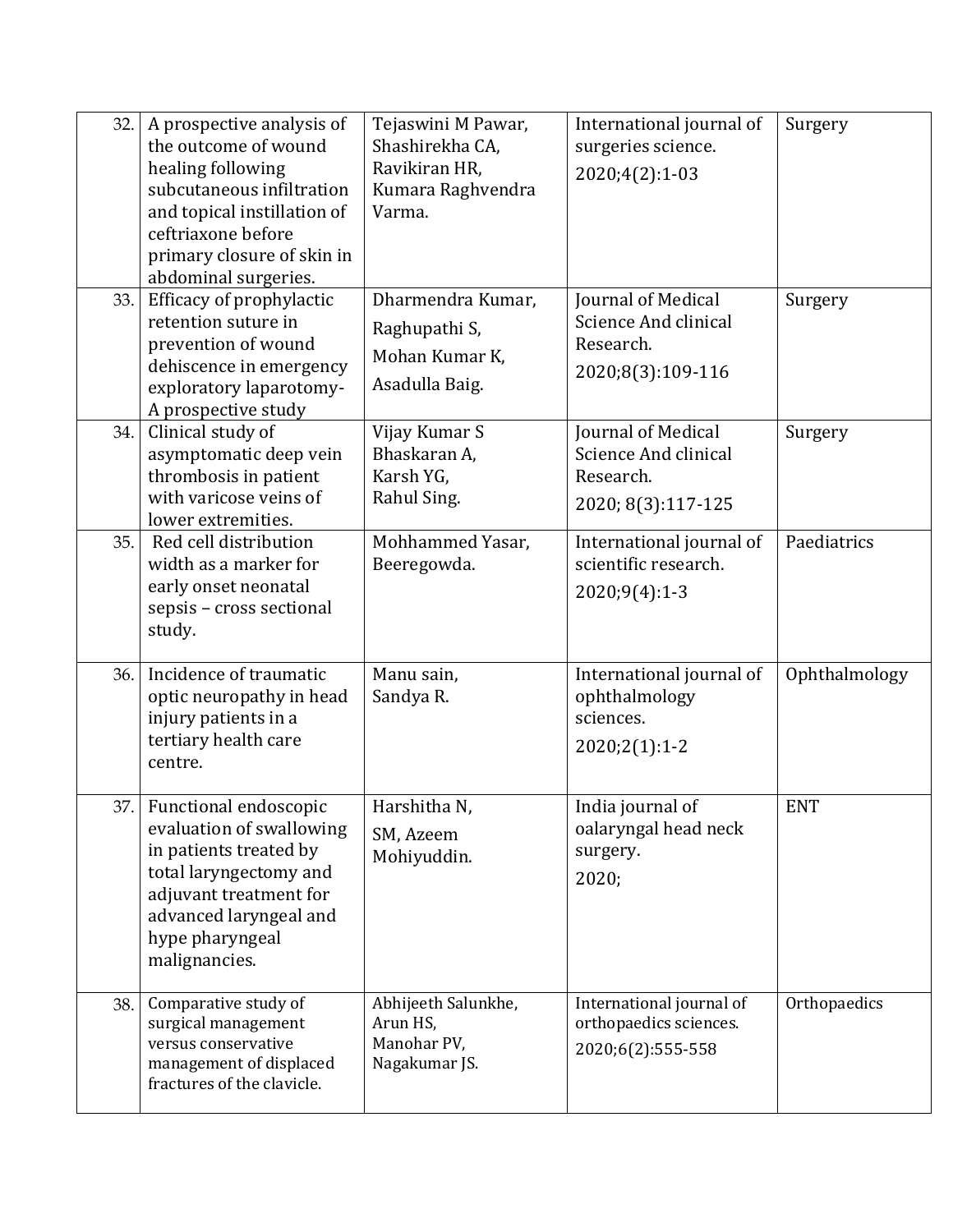| 32. | A prospective analysis of<br>the outcome of wound<br>healing following<br>subcutaneous infiltration<br>and topical instillation of<br>ceftriaxone before<br>primary closure of skin in<br>abdominal surgeries. | Tejaswini M Pawar,<br>Shashirekha CA,<br>Ravikiran HR,<br>Kumara Raghvendra<br>Varma. | International journal of<br>surgeries science.<br>2020;4(2):1-03              | Surgery       |
|-----|----------------------------------------------------------------------------------------------------------------------------------------------------------------------------------------------------------------|---------------------------------------------------------------------------------------|-------------------------------------------------------------------------------|---------------|
| 33. | Efficacy of prophylactic<br>retention suture in<br>prevention of wound<br>dehiscence in emergency<br>exploratory laparotomy-<br>A prospective study                                                            | Dharmendra Kumar,<br>Raghupathi S,<br>Mohan Kumar K,<br>Asadulla Baig.                | Journal of Medical<br>Science And clinical<br>Research.<br>2020;8(3):109-116  | Surgery       |
| 34. | Clinical study of<br>asymptomatic deep vein<br>thrombosis in patient<br>with varicose veins of<br>lower extremities.                                                                                           | Vijay Kumar S<br>Bhaskaran A,<br>Karsh YG,<br>Rahul Sing.                             | Journal of Medical<br>Science And clinical<br>Research.<br>2020; 8(3):117-125 | Surgery       |
| 35. | Red cell distribution<br>width as a marker for<br>early onset neonatal<br>sepsis - cross sectional<br>study.                                                                                                   | Mohhammed Yasar,<br>Beeregowda.                                                       | International journal of<br>scientific research.<br>$2020;9(4):1-3$           | Paediatrics   |
| 36. | Incidence of traumatic<br>optic neuropathy in head<br>injury patients in a<br>tertiary health care<br>centre.                                                                                                  | Manu sain,<br>Sandya R.                                                               | International journal of<br>ophthalmology<br>sciences.<br>$2020;2(1):1-2$     | Ophthalmology |
|     | 37. Functional endoscopic<br>evaluation of swallowing<br>in patients treated by<br>total laryngectomy and<br>adjuvant treatment for<br>advanced laryngeal and<br>hype pharyngeal<br>malignancies.              | Harshitha N,<br>SM, Azeem<br>Mohiyuddin.                                              | India journal of<br>oalaryngal head neck<br>surgery.<br>2020;                 | <b>ENT</b>    |
| 38. | Comparative study of<br>surgical management<br>versus conservative<br>management of displaced<br>fractures of the clavicle.                                                                                    | Abhijeeth Salunkhe,<br>Arun HS,<br>Manohar PV,<br>Nagakumar JS.                       | International journal of<br>orthopaedics sciences.<br>2020;6(2):555-558       | Orthopaedics  |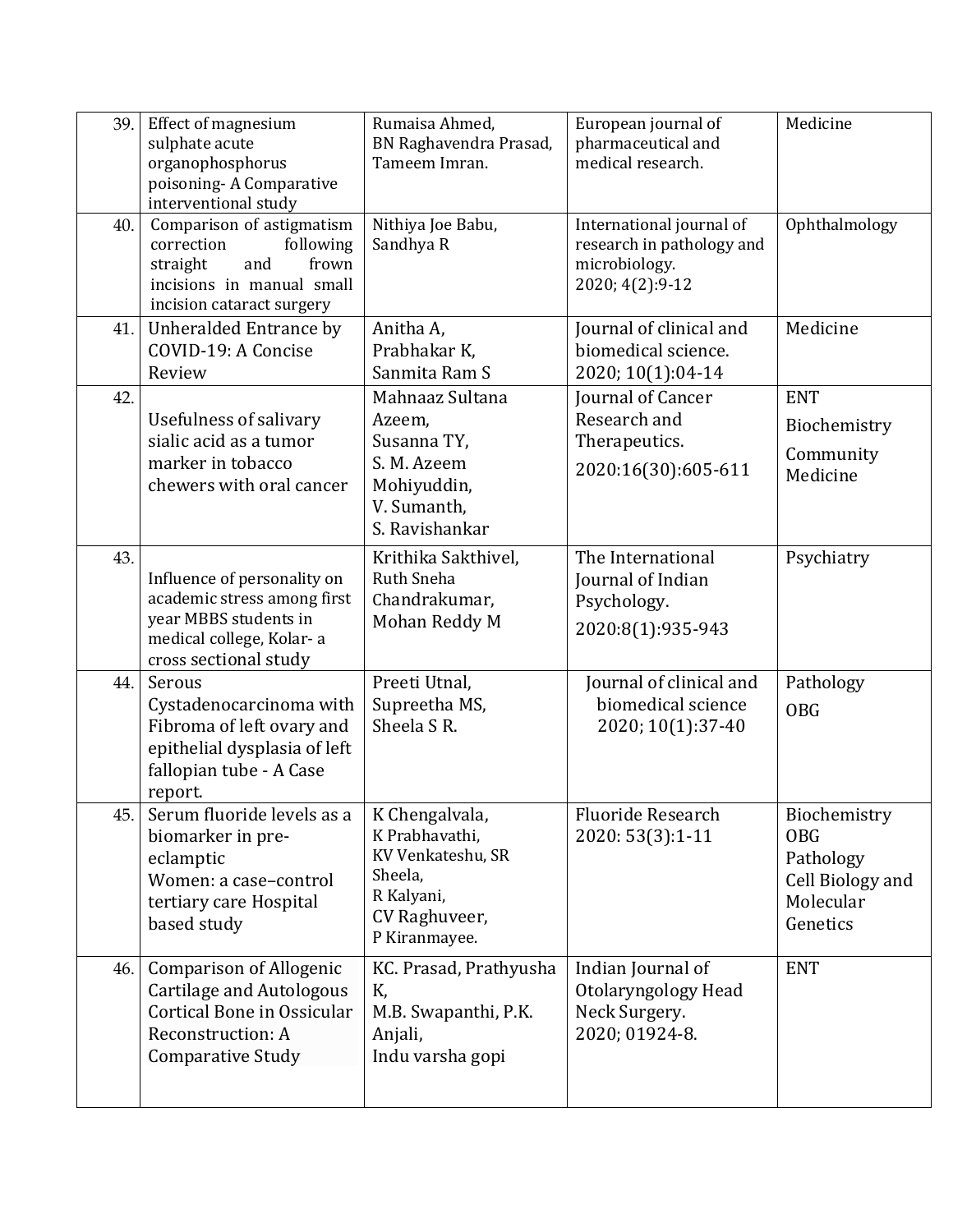| 39. | <b>Effect of magnesium</b><br>sulphate acute<br>organophosphorus<br>poisoning-A Comparative<br>interventional study                        | Rumaisa Ahmed,<br>BN Raghavendra Prasad,<br>Tameem Imran.                                                        | European journal of<br>pharmaceutical and<br>medical research.                             | Medicine                                                                             |
|-----|--------------------------------------------------------------------------------------------------------------------------------------------|------------------------------------------------------------------------------------------------------------------|--------------------------------------------------------------------------------------------|--------------------------------------------------------------------------------------|
| 40. | Comparison of astigmatism<br>correction<br>following<br>straight<br>and<br>frown<br>incisions in manual small<br>incision cataract surgery | Nithiya Joe Babu,<br>Sandhya R                                                                                   | International journal of<br>research in pathology and<br>microbiology.<br>2020; 4(2): 9-12 | Ophthalmology                                                                        |
| 41. | Unheralded Entrance by<br>COVID-19: A Concise<br>Review                                                                                    | Anitha A,<br>Prabhakar K,<br>Sanmita Ram S                                                                       | Journal of clinical and<br>biomedical science.<br>2020; 10(1):04-14                        | Medicine                                                                             |
| 42. | Usefulness of salivary<br>sialic acid as a tumor<br>marker in tobacco<br>chewers with oral cancer                                          | Mahnaaz Sultana<br>Azeem,<br>Susanna TY,<br>S. M. Azeem<br>Mohiyuddin,<br>V. Sumanth,<br>S. Ravishankar          | Journal of Cancer<br>Research and<br>Therapeutics.<br>2020:16(30):605-611                  | <b>ENT</b><br>Biochemistry<br>Community<br>Medicine                                  |
| 43. | Influence of personality on<br>academic stress among first<br>year MBBS students in<br>medical college, Kolar-a<br>cross sectional study   | Krithika Sakthivel,<br>Ruth Sneha<br>Chandrakumar,<br>Mohan Reddy M                                              | The International<br>Journal of Indian<br>Psychology.<br>2020:8(1):935-943                 | Psychiatry                                                                           |
| 44. | Serous<br>Cystadenocarcinoma with<br>Fibroma of left ovary and<br>epithelial dysplasia of left<br>fallopian tube - A Case<br>report.       | Preeti Utnal,<br>Supreetha MS,<br>Sheela SR.                                                                     | Journal of clinical and<br>biomedical science<br>2020; 10(1):37-40                         | Pathology<br><b>OBG</b>                                                              |
| 45. | Serum fluoride levels as a<br>biomarker in pre-<br>eclamptic<br>Women: a case-control<br>tertiary care Hospital<br>based study             | K Chengalvala,<br>K Prabhavathi,<br>KV Venkateshu, SR<br>Sheela,<br>R Kalyani,<br>CV Raghuveer,<br>P Kiranmayee. | <b>Fluoride Research</b><br>2020: 53(3):1-11                                               | Biochemistry<br><b>OBG</b><br>Pathology<br>Cell Biology and<br>Molecular<br>Genetics |
| 46. | Comparison of Allogenic<br>Cartilage and Autologous<br>Cortical Bone in Ossicular<br>Reconstruction: A<br><b>Comparative Study</b>         | KC. Prasad, Prathyusha<br>K,<br>M.B. Swapanthi, P.K.<br>Anjali,<br>Indu varsha gopi                              | Indian Journal of<br>Otolaryngology Head<br>Neck Surgery.<br>2020; 01924-8.                | <b>ENT</b>                                                                           |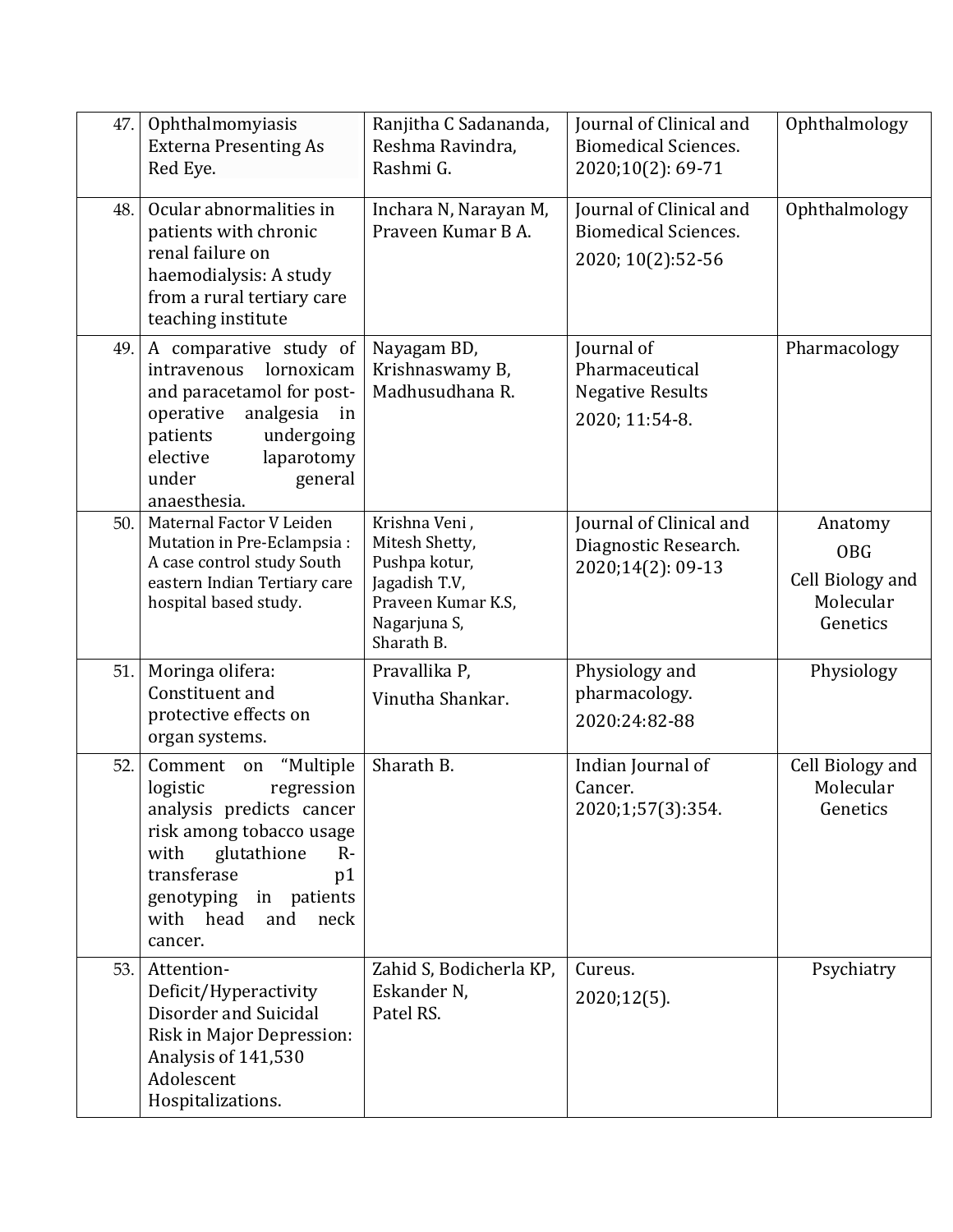| 47. | Ophthalmomyiasis<br><b>Externa Presenting As</b><br>Red Eye.                                                                                                                                                                       | Ranjitha C Sadananda,<br>Reshma Ravindra,<br>Rashmi G.                                                                | Journal of Clinical and<br><b>Biomedical Sciences.</b><br>2020;10(2): 69-71 | Ophthalmology                                                      |
|-----|------------------------------------------------------------------------------------------------------------------------------------------------------------------------------------------------------------------------------------|-----------------------------------------------------------------------------------------------------------------------|-----------------------------------------------------------------------------|--------------------------------------------------------------------|
| 48. | Ocular abnormalities in<br>patients with chronic<br>renal failure on<br>haemodialysis: A study<br>from a rural tertiary care<br>teaching institute                                                                                 | Inchara N, Narayan M,<br>Praveen Kumar B A.                                                                           | Journal of Clinical and<br><b>Biomedical Sciences.</b><br>2020; 10(2):52-56 | Ophthalmology                                                      |
| 49. | A comparative study of<br>lornoxicam<br>intravenous<br>and paracetamol for post-<br>analgesia<br>operative<br>in<br>patients<br>undergoing<br>elective<br>laparotomy<br>under<br>general<br>anaesthesia.                           | Nayagam BD,<br>Krishnaswamy B,<br>Madhusudhana R.                                                                     | Journal of<br>Pharmaceutical<br><b>Negative Results</b><br>2020; 11:54-8.   | Pharmacology                                                       |
| 50. | Maternal Factor V Leiden<br>Mutation in Pre-Eclampsia:<br>A case control study South<br>eastern Indian Tertiary care<br>hospital based study.                                                                                      | Krishna Veni,<br>Mitesh Shetty,<br>Pushpa kotur,<br>Jagadish T.V,<br>Praveen Kumar K.S,<br>Nagarjuna S,<br>Sharath B. | Journal of Clinical and<br>Diagnostic Research.<br>2020;14(2): 09-13        | Anatomy<br><b>OBG</b><br>Cell Biology and<br>Molecular<br>Genetics |
| 51. | Moringa olifera:<br>Constituent and<br>protective effects on<br>organ systems.                                                                                                                                                     | Pravallika P,<br>Vinutha Shankar.                                                                                     | Physiology and<br>pharmacology.<br>2020:24:82-88                            | Physiology                                                         |
| 52. | "Multiple<br>Comment on<br>regression<br>logistic<br>analysis predicts cancer<br>risk among tobacco usage<br>glutathione<br>with<br>$R -$<br>transferase<br>p1<br>in patients<br>genotyping<br>with head<br>and<br>neck<br>cancer. | Sharath B.                                                                                                            | Indian Journal of<br>Cancer.<br>2020;1;57(3):354.                           | Cell Biology and<br>Molecular<br>Genetics                          |
| 53. | Attention-<br>Deficit/Hyperactivity<br>Disorder and Suicidal<br>Risk in Major Depression:<br>Analysis of 141,530<br>Adolescent<br>Hospitalizations.                                                                                | Zahid S, Bodicherla KP,<br>Eskander N,<br>Patel RS.                                                                   | Cureus.<br>$2020;12(5)$ .                                                   | Psychiatry                                                         |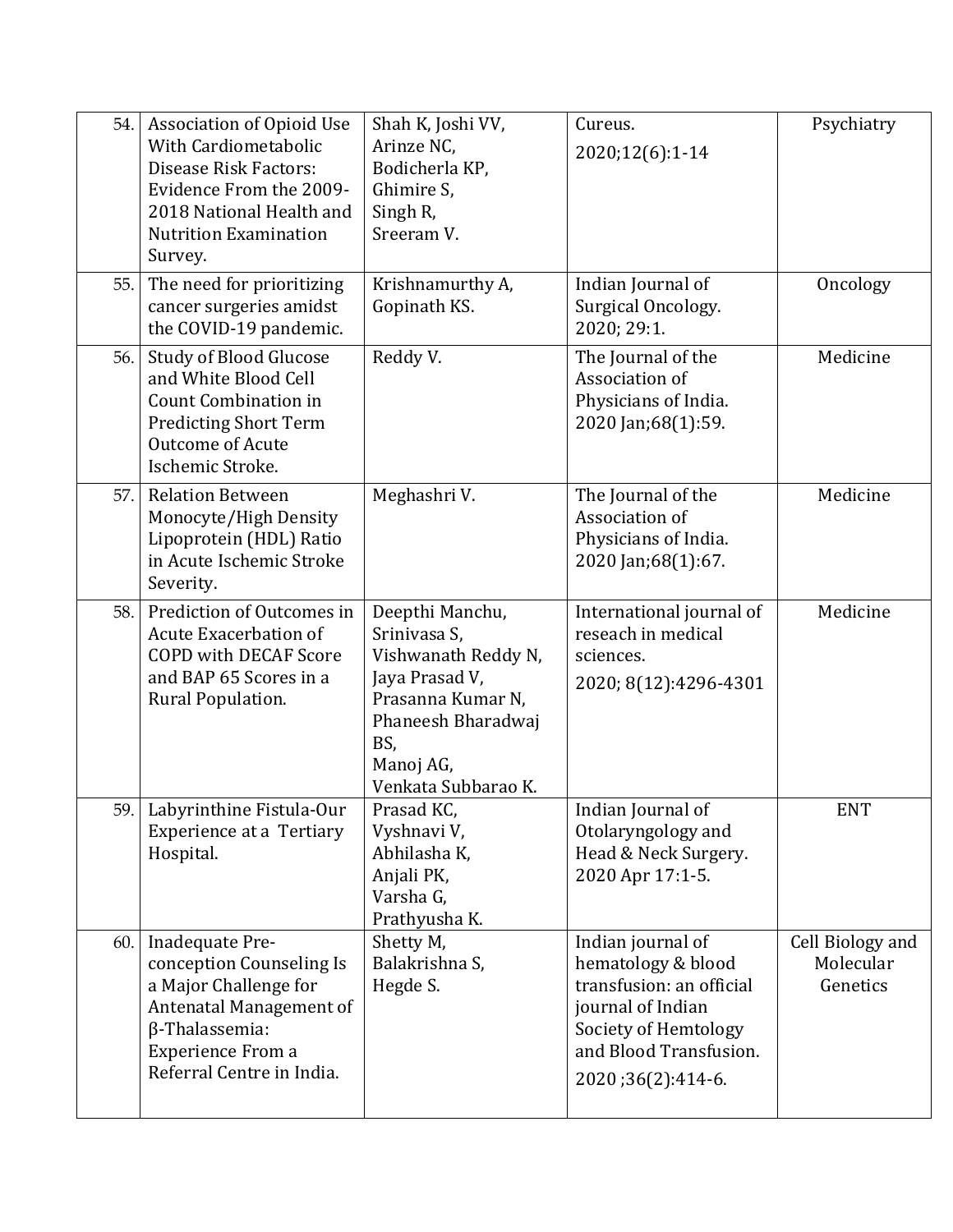| 54. | Association of Opioid Use<br>With Cardiometabolic<br>Disease Risk Factors:<br>Evidence From the 2009-<br>2018 National Health and<br><b>Nutrition Examination</b><br>Survey. | Shah K, Joshi VV,<br>Arinze NC,<br>Bodicherla KP,<br>Ghimire S,<br>Singh R,<br>Sreeram V.                                                                      | Cureus.<br>2020;12(6):1-14                                                                                                                                      | Psychiatry                                |
|-----|------------------------------------------------------------------------------------------------------------------------------------------------------------------------------|----------------------------------------------------------------------------------------------------------------------------------------------------------------|-----------------------------------------------------------------------------------------------------------------------------------------------------------------|-------------------------------------------|
| 55. | The need for prioritizing<br>cancer surgeries amidst<br>the COVID-19 pandemic.                                                                                               | Krishnamurthy A,<br>Gopinath KS.                                                                                                                               | Indian Journal of<br>Surgical Oncology.<br>2020; 29:1.                                                                                                          | Oncology                                  |
| 56. | <b>Study of Blood Glucose</b><br>and White Blood Cell<br>Count Combination in<br><b>Predicting Short Term</b><br><b>Outcome of Acute</b><br>Ischemic Stroke.                 | Reddy V.                                                                                                                                                       | The Journal of the<br>Association of<br>Physicians of India.<br>2020 Jan;68(1):59.                                                                              | Medicine                                  |
| 57. | <b>Relation Between</b><br>Monocyte/High Density<br>Lipoprotein (HDL) Ratio<br>in Acute Ischemic Stroke<br>Severity.                                                         | Meghashri V.                                                                                                                                                   | The Journal of the<br>Association of<br>Physicians of India.<br>2020 Jan;68(1):67.                                                                              | Medicine                                  |
| 58. | Prediction of Outcomes in<br><b>Acute Exacerbation of</b><br><b>COPD with DECAF Score</b><br>and BAP 65 Scores in a<br>Rural Population.                                     | Deepthi Manchu,<br>Srinivasa S,<br>Vishwanath Reddy N,<br>Jaya Prasad V,<br>Prasanna Kumar N,<br>Phaneesh Bharadwaj<br>BS,<br>Manoj AG,<br>Venkata Subbarao K. | International journal of<br>reseach in medical<br>sciences.<br>2020; 8(12):4296-4301                                                                            | Medicine                                  |
| 59. | Labyrinthine Fistula-Our<br><b>Experience at a Tertiary</b><br>Hospital.                                                                                                     | Prasad KC,<br>Vyshnavi V,<br>Abhilasha K,<br>Anjali PK,<br>Varsha G,<br>Prathyusha K.                                                                          | Indian Journal of<br>Otolaryngology and<br>Head & Neck Surgery.<br>2020 Apr 17:1-5.                                                                             | <b>ENT</b>                                |
| 60. | Inadequate Pre-<br>conception Counseling Is<br>a Major Challenge for<br>Antenatal Management of<br>$\beta$ -Thalassemia:<br>Experience From a<br>Referral Centre in India.   | Shetty M,<br>Balakrishna S,<br>Hegde S.                                                                                                                        | Indian journal of<br>hematology & blood<br>transfusion: an official<br>journal of Indian<br>Society of Hemtology<br>and Blood Transfusion.<br>2020;36(2):414-6. | Cell Biology and<br>Molecular<br>Genetics |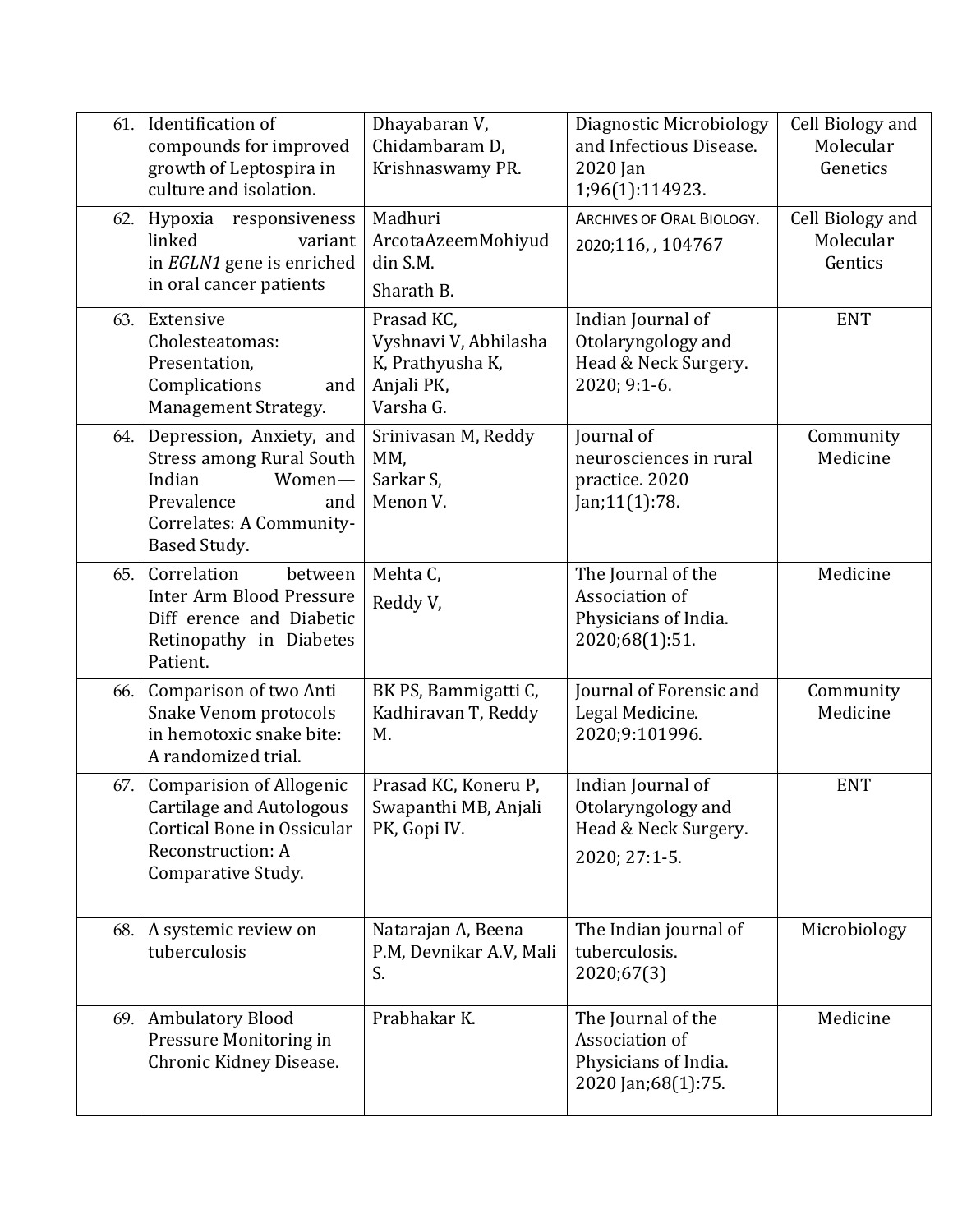| 61. | Identification of<br>compounds for improved<br>growth of Leptospira in<br>culture and isolation.                                                 | Dhayabaran V,<br>Chidambaram D,<br>Krishnaswamy PR.                                | Diagnostic Microbiology<br>and Infectious Disease.<br>2020 Jan<br>1;96(1):114923.    | Cell Biology and<br>Molecular<br>Genetics |
|-----|--------------------------------------------------------------------------------------------------------------------------------------------------|------------------------------------------------------------------------------------|--------------------------------------------------------------------------------------|-------------------------------------------|
| 62. | Hypoxia responsiveness<br>linked<br>variant<br>in EGLN1 gene is enriched<br>in oral cancer patients                                              | Madhuri<br>ArcotaAzeemMohiyud<br>din S.M.<br>Sharath B.                            | ARCHIVES OF ORAL BIOLOGY.<br>2020;116,,104767                                        | Cell Biology and<br>Molecular<br>Gentics  |
| 63. | Extensive<br>Cholesteatomas:<br>Presentation,<br>Complications<br>and<br>Management Strategy.                                                    | Prasad KC,<br>Vyshnavi V, Abhilasha<br>K, Prathyusha K,<br>Anjali PK,<br>Varsha G. | Indian Journal of<br>Otolaryngology and<br>Head & Neck Surgery.<br>2020; 9:1-6.      | <b>ENT</b>                                |
| 64. | Depression, Anxiety, and<br><b>Stress among Rural South</b><br>Indian<br>Women-<br>Prevalence<br>and<br>Correlates: A Community-<br>Based Study. | Srinivasan M, Reddy<br>MM,<br>Sarkar S,<br>Menon V.                                | Journal of<br>neurosciences in rural<br>practice. 2020<br>Jan;11(1):78.              | Community<br>Medicine                     |
| 65. | Correlation<br>between<br><b>Inter Arm Blood Pressure</b><br>Diff erence and Diabetic<br>Retinopathy in Diabetes<br>Patient.                     | Mehta C,<br>Reddy V,                                                               | The Journal of the<br>Association of<br>Physicians of India.<br>2020;68(1):51.       | Medicine                                  |
| 66. | Comparison of two Anti<br>Snake Venom protocols<br>in hemotoxic snake bite:<br>A randomized trial.                                               | BK PS, Bammigatti C,<br>Kadhiravan T, Reddy<br>M.                                  | Journal of Forensic and<br>Legal Medicine.<br>2020;9:101996.                         | Community<br>Medicine                     |
| 67. | <b>Comparision of Allogenic</b><br><b>Cartilage and Autologous</b><br>Cortical Bone in Ossicular<br>Reconstruction: A<br>Comparative Study.      | Prasad KC, Koneru P,<br>Swapanthi MB, Anjali<br>PK, Gopi IV.                       | Indian Journal of<br>Otolaryngology and<br>Head & Neck Surgery.<br>2020; 27:1-5.     | <b>ENT</b>                                |
| 68. | A systemic review on<br>tuberculosis                                                                                                             | Natarajan A, Beena<br>P.M, Devnikar A.V, Mali<br>S.                                | The Indian journal of<br>tuberculosis.<br>2020;67(3)                                 | Microbiology                              |
| 69. | <b>Ambulatory Blood</b><br>Pressure Monitoring in<br>Chronic Kidney Disease.                                                                     | Prabhakar K.                                                                       | The Journal of the<br>Association of<br>Physicians of India.<br>2020 Jan; 68(1): 75. | Medicine                                  |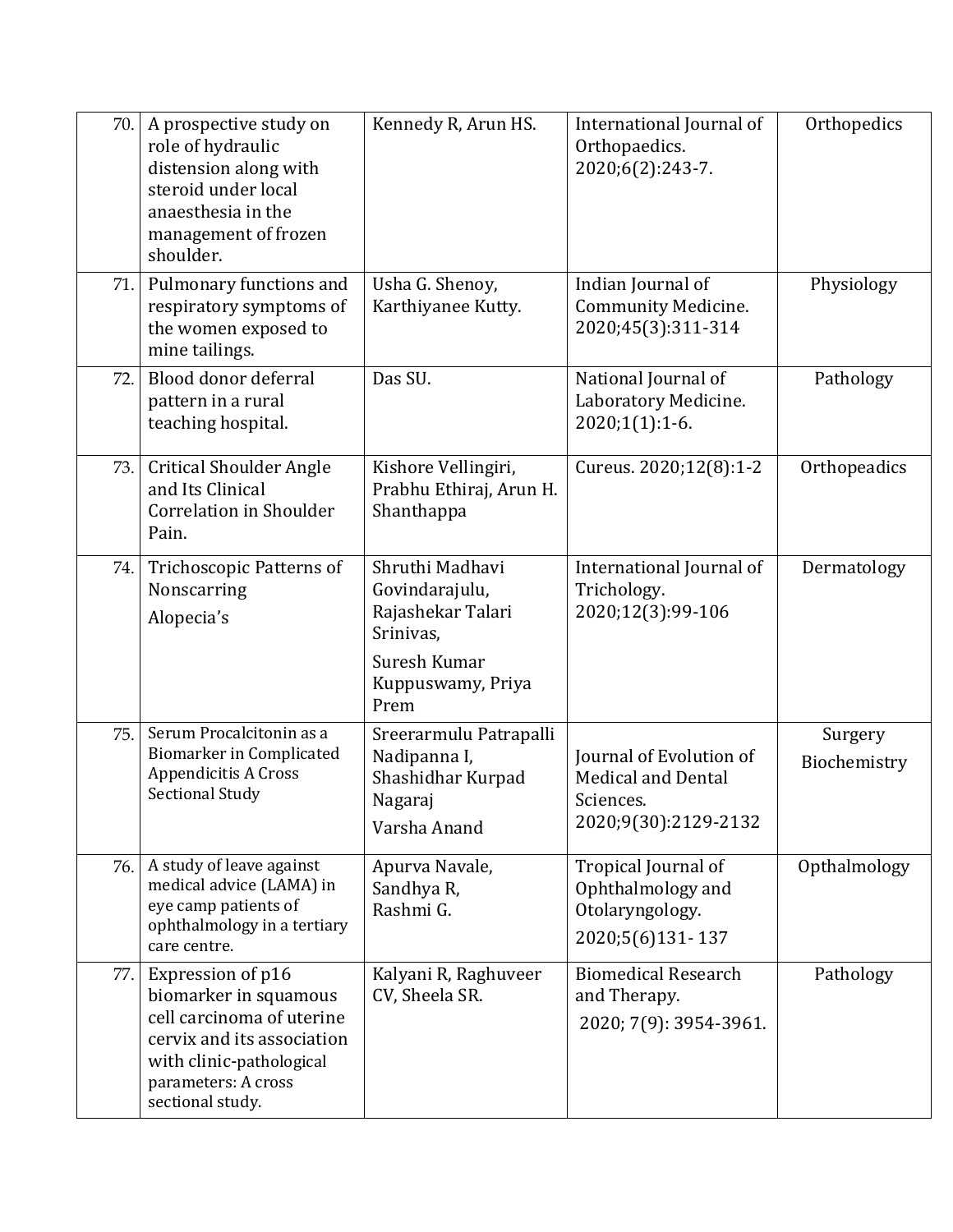| 70. | A prospective study on<br>role of hydraulic<br>distension along with<br>steroid under local<br>anaesthesia in the<br>management of frozen<br>shoulder.                       | Kennedy R, Arun HS.                                                                                              | International Journal of<br>Orthopaedics.<br>2020;6(2):243-7.                             | Orthopedics             |
|-----|------------------------------------------------------------------------------------------------------------------------------------------------------------------------------|------------------------------------------------------------------------------------------------------------------|-------------------------------------------------------------------------------------------|-------------------------|
| 71. | Pulmonary functions and<br>respiratory symptoms of<br>the women exposed to<br>mine tailings.                                                                                 | Usha G. Shenoy,<br>Karthiyanee Kutty.                                                                            | Indian Journal of<br><b>Community Medicine.</b><br>2020;45(3):311-314                     | Physiology              |
| 72. | Blood donor deferral<br>pattern in a rural<br>teaching hospital.                                                                                                             | Das SU.                                                                                                          | National Journal of<br>Laboratory Medicine.<br>$2020;1(1):1-6.$                           | Pathology               |
| 73. | <b>Critical Shoulder Angle</b><br>and Its Clinical<br><b>Correlation in Shoulder</b><br>Pain.                                                                                | Kishore Vellingiri,<br>Prabhu Ethiraj, Arun H.<br>Shanthappa                                                     | Cureus. 2020;12(8):1-2                                                                    | Orthopeadics            |
| 74. | <b>Trichoscopic Patterns of</b><br>Nonscarring<br>Alopecia's                                                                                                                 | Shruthi Madhavi<br>Govindarajulu,<br>Rajashekar Talari<br>Srinivas,<br>Suresh Kumar<br>Kuppuswamy, Priya<br>Prem | International Journal of<br>Trichology.<br>2020;12(3):99-106                              | Dermatology             |
| 75. | Serum Procalcitonin as a<br><b>Biomarker in Complicated</b><br><b>Appendicitis A Cross</b><br><b>Sectional Study</b>                                                         | Sreerarmulu Patrapalli<br>Nadipanna I,<br>Shashidhar Kurpad<br>Nagaraj<br>Varsha Anand                           | Journal of Evolution of<br><b>Medical and Dental</b><br>Sciences.<br>2020;9(30):2129-2132 | Surgery<br>Biochemistry |
| 76. | A study of leave against<br>medical advice (LAMA) in<br>eye camp patients of<br>ophthalmology in a tertiary<br>care centre.                                                  | Apurva Navale,<br>Sandhya R,<br>Rashmi G.                                                                        | Tropical Journal of<br>Ophthalmology and<br>Otolaryngology.<br>2020;5(6)131-137           | Opthalmology            |
| 77. | Expression of p16<br>biomarker in squamous<br>cell carcinoma of uterine<br>cervix and its association<br>with clinic-pathological<br>parameters: A cross<br>sectional study. | Kalyani R, Raghuveer<br>CV, Sheela SR.                                                                           | <b>Biomedical Research</b><br>and Therapy.<br>2020; 7(9): 3954-3961.                      | Pathology               |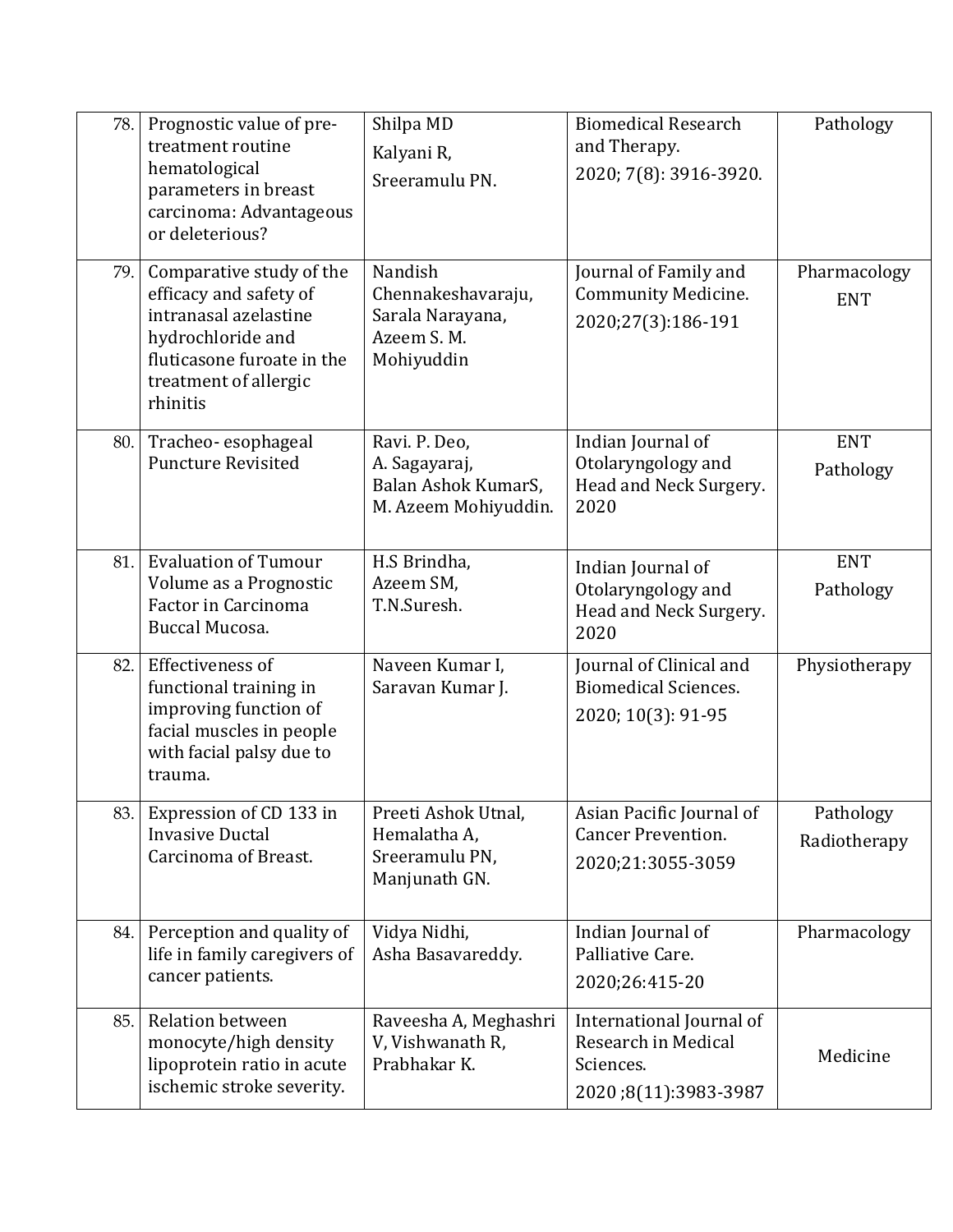| 78. | Prognostic value of pre-<br>treatment routine<br>hematological<br>parameters in breast<br>carcinoma: Advantageous<br>or deleterious?                                | Shilpa MD<br>Kalyani R,<br>Sreeramulu PN.                                     | <b>Biomedical Research</b><br>and Therapy.<br>2020; 7(8): 3916-3920.                 | Pathology                  |
|-----|---------------------------------------------------------------------------------------------------------------------------------------------------------------------|-------------------------------------------------------------------------------|--------------------------------------------------------------------------------------|----------------------------|
| 79. | Comparative study of the<br>efficacy and safety of<br>intranasal azelastine<br>hydrochloride and<br>fluticasone furoate in the<br>treatment of allergic<br>rhinitis | Nandish<br>Chennakeshavaraju,<br>Sarala Narayana,<br>Azeem S.M.<br>Mohiyuddin | Journal of Family and<br><b>Community Medicine.</b><br>2020;27(3):186-191            | Pharmacology<br><b>ENT</b> |
| 80. | Tracheo-esophageal<br><b>Puncture Revisited</b>                                                                                                                     | Ravi. P. Deo,<br>A. Sagayaraj,<br>Balan Ashok KumarS,<br>M. Azeem Mohiyuddin. | Indian Journal of<br>Otolaryngology and<br>Head and Neck Surgery.<br>2020            | <b>ENT</b><br>Pathology    |
| 81. | <b>Evaluation of Tumour</b><br>Volume as a Prognostic<br>Factor in Carcinoma<br>Buccal Mucosa.                                                                      | H.S Brindha,<br>Azeem SM,<br>T.N.Suresh.                                      | Indian Journal of<br>Otolaryngology and<br>Head and Neck Surgery.<br>2020            | <b>ENT</b><br>Pathology    |
| 82. | Effectiveness of<br>functional training in<br>improving function of<br>facial muscles in people<br>with facial palsy due to<br>trauma.                              | Naveen Kumar I,<br>Saravan Kumar J.                                           | Journal of Clinical and<br><b>Biomedical Sciences.</b><br>2020; 10(3): 91-95         | Physiotherapy              |
| 83. | Expression of CD 133 in<br><b>Invasive Ductal</b><br>Carcinoma of Breast.                                                                                           | Preeti Ashok Utnal,<br>Hemalatha A,<br>Sreeramulu PN,<br>Manjunath GN.        | Asian Pacific Journal of<br><b>Cancer Prevention.</b><br>2020;21:3055-3059           | Pathology<br>Radiotherapy  |
| 84. | Perception and quality of<br>life in family caregivers of<br>cancer patients.                                                                                       | Vidya Nidhi,<br>Asha Basavareddy.                                             | Indian Journal of<br>Palliative Care.<br>2020;26:415-20                              | Pharmacology               |
| 85. | <b>Relation between</b><br>monocyte/high density<br>lipoprotein ratio in acute<br>ischemic stroke severity.                                                         | Raveesha A, Meghashri<br>V, Vishwanath R,<br>Prabhakar K.                     | International Journal of<br>Research in Medical<br>Sciences.<br>2020;8(11):3983-3987 | Medicine                   |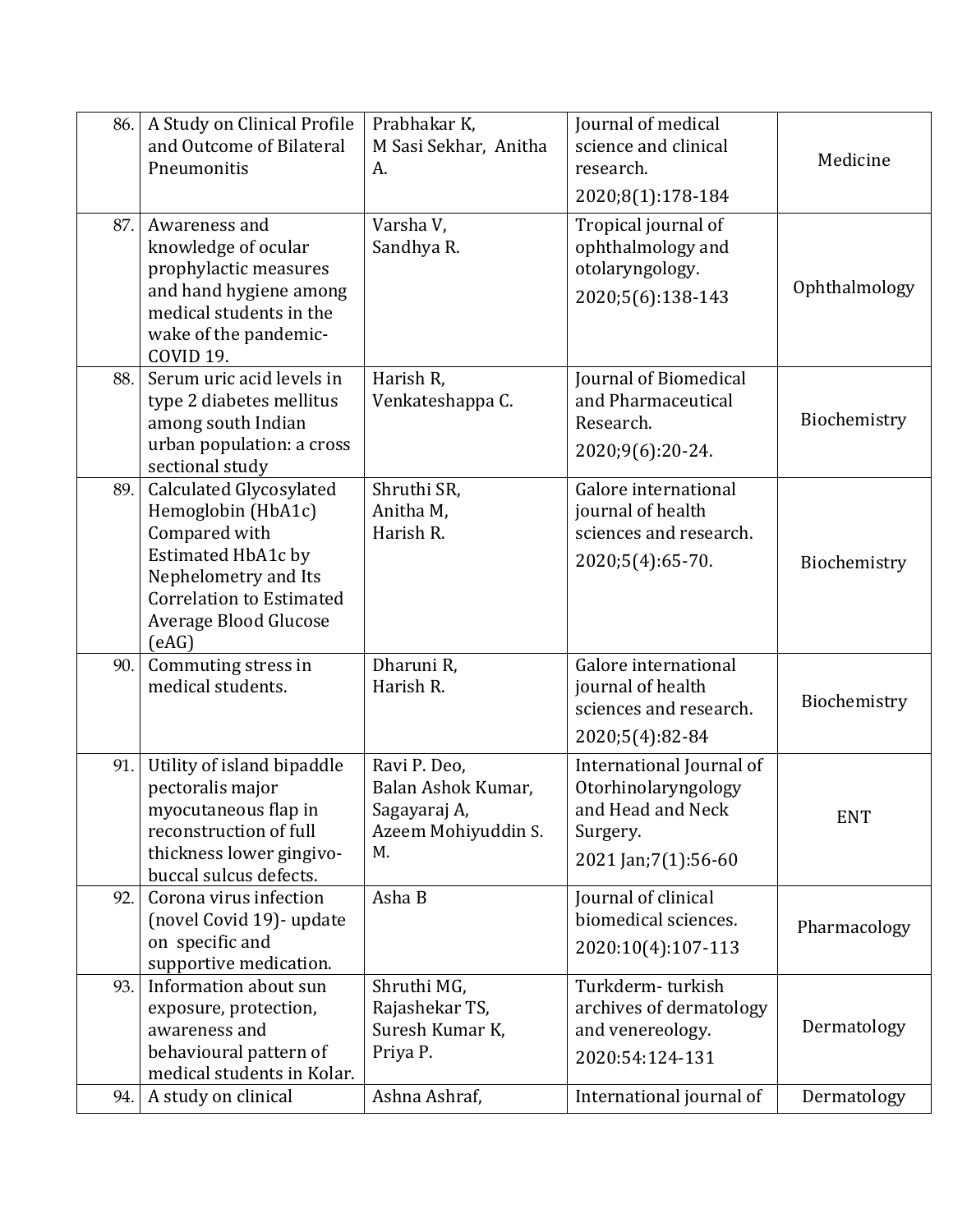| 86. | A Study on Clinical Profile<br>and Outcome of Bilateral<br>Pneumonitis                                                                                                                   | Prabhakar K,<br>M Sasi Sekhar, Anitha<br>A.                                     | Journal of medical<br>science and clinical<br>research.<br>2020;8(1):178-184                              | Medicine      |
|-----|------------------------------------------------------------------------------------------------------------------------------------------------------------------------------------------|---------------------------------------------------------------------------------|-----------------------------------------------------------------------------------------------------------|---------------|
| 87. | Awareness and<br>knowledge of ocular<br>prophylactic measures<br>and hand hygiene among<br>medical students in the<br>wake of the pandemic-<br>COVID 19.                                 | Varsha V,<br>Sandhya R.                                                         | Tropical journal of<br>ophthalmology and<br>otolaryngology.<br>2020;5(6):138-143                          | Ophthalmology |
| 88. | Serum uric acid levels in<br>type 2 diabetes mellitus<br>among south Indian<br>urban population: a cross<br>sectional study                                                              | Harish R,<br>Venkateshappa C.                                                   | Journal of Biomedical<br>and Pharmaceutical<br>Research.<br>2020;9(6):20-24.                              | Biochemistry  |
| 89. | Calculated Glycosylated<br>Hemoglobin (HbA1c)<br>Compared with<br>Estimated HbA1c by<br>Nephelometry and Its<br><b>Correlation to Estimated</b><br><b>Average Blood Glucose</b><br>(eAG) | Shruthi SR,<br>Anitha M,<br>Harish R.                                           | Galore international<br>journal of health<br>sciences and research.<br>2020;5(4):65-70.                   | Biochemistry  |
| 90. | Commuting stress in<br>medical students.                                                                                                                                                 | Dharuni R,<br>Harish R.                                                         | Galore international<br>journal of health<br>sciences and research.<br>2020;5(4):82-84                    | Biochemistry  |
| 91. | Utility of island bipaddle<br>pectoralis major<br>myocutaneous flap in<br>reconstruction of full<br>thickness lower gingivo-<br>buccal sulcus defects.                                   | Ravi P. Deo,<br>Balan Ashok Kumar,<br>Sagayaraj A,<br>Azeem Mohiyuddin S.<br>M. | International Journal of<br>Otorhinolaryngology<br>and Head and Neck<br>Surgery.<br>2021 Jan; 7(1): 56-60 | <b>ENT</b>    |
| 92. | Corona virus infection<br>(novel Covid 19)- update<br>on specific and<br>supportive medication.                                                                                          | Asha B                                                                          | Journal of clinical<br>biomedical sciences.<br>2020:10(4):107-113                                         | Pharmacology  |
| 93. | Information about sun<br>exposure, protection,<br>awareness and<br>behavioural pattern of<br>medical students in Kolar.                                                                  | Shruthi MG,<br>Rajashekar TS,<br>Suresh Kumar K,<br>Priya P.                    | Turkderm-turkish<br>archives of dermatology<br>and venereology.<br>2020:54:124-131                        | Dermatology   |
| 94. | A study on clinical                                                                                                                                                                      | Ashna Ashraf,                                                                   | International journal of                                                                                  | Dermatology   |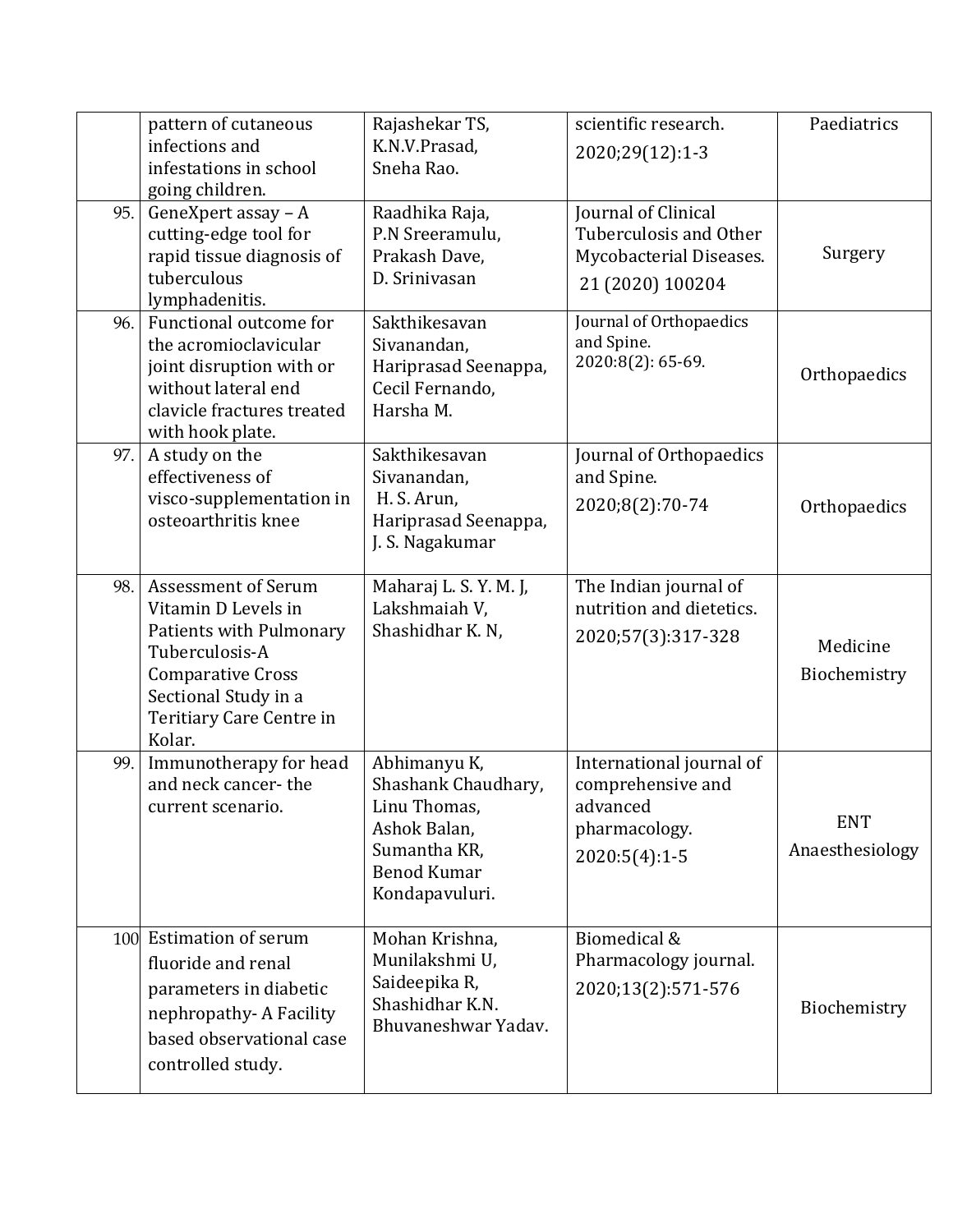|     | pattern of cutaneous<br>infections and<br>infestations in school                                                                                                                         | Rajashekar TS,<br>K.N.V.Prasad,<br>Sneha Rao.                                                                               | scientific research.<br>2020;29(12):1-3                                                       | Paediatrics                   |
|-----|------------------------------------------------------------------------------------------------------------------------------------------------------------------------------------------|-----------------------------------------------------------------------------------------------------------------------------|-----------------------------------------------------------------------------------------------|-------------------------------|
| 95. | going children.<br>GeneXpert assay - A<br>cutting-edge tool for<br>rapid tissue diagnosis of<br>tuberculous<br>lymphadenitis.                                                            | Raadhika Raja,<br>P.N Sreeramulu,<br>Prakash Dave,<br>D. Srinivasan                                                         | Journal of Clinical<br>Tuberculosis and Other<br>Mycobacterial Diseases.<br>21 (2020) 100204  | Surgery                       |
| 96. | Functional outcome for<br>the acromioclavicular<br>joint disruption with or<br>without lateral end<br>clavicle fractures treated<br>with hook plate.                                     | Sakthikesavan<br>Sivanandan,<br>Hariprasad Seenappa,<br>Cecil Fernando,<br>Harsha M.                                        | Journal of Orthopaedics<br>and Spine.<br>2020:8(2): 65-69.                                    | Orthopaedics                  |
| 97. | A study on the<br>effectiveness of<br>visco-supplementation in<br>osteoarthritis knee                                                                                                    | Sakthikesavan<br>Sivanandan,<br>H. S. Arun,<br>Hariprasad Seenappa,<br>J. S. Nagakumar                                      | Journal of Orthopaedics<br>and Spine.<br>2020;8(2):70-74                                      | Orthopaedics                  |
| 98. | <b>Assessment of Serum</b><br>Vitamin D Levels in<br>Patients with Pulmonary<br>Tuberculosis-A<br><b>Comparative Cross</b><br>Sectional Study in a<br>Teritiary Care Centre in<br>Kolar. | Maharaj L. S. Y. M. J,<br>Lakshmaiah V,<br>Shashidhar K. N,                                                                 | The Indian journal of<br>nutrition and dietetics.<br>2020;57(3):317-328                       | Medicine<br>Biochemistry      |
| 99. | Immunotherapy for head<br>and neck cancer-the<br>current scenario.                                                                                                                       | Abhimanyu K,<br>Shashank Chaudhary,<br>Linu Thomas,<br>Ashok Balan,<br>Sumantha KR,<br><b>Benod Kumar</b><br>Kondapavuluri. | International journal of<br>comprehensive and<br>advanced<br>pharmacology.<br>$2020:5(4):1-5$ | <b>ENT</b><br>Anaesthesiology |
|     | 100 Estimation of serum<br>fluoride and renal<br>parameters in diabetic<br>nephropathy-A Facility<br>based observational case<br>controlled study.                                       | Mohan Krishna,<br>Munilakshmi U,<br>Saideepika R,<br>Shashidhar K.N.<br>Bhuvaneshwar Yadav.                                 | Biomedical &<br>Pharmacology journal.<br>2020;13(2):571-576                                   | Biochemistry                  |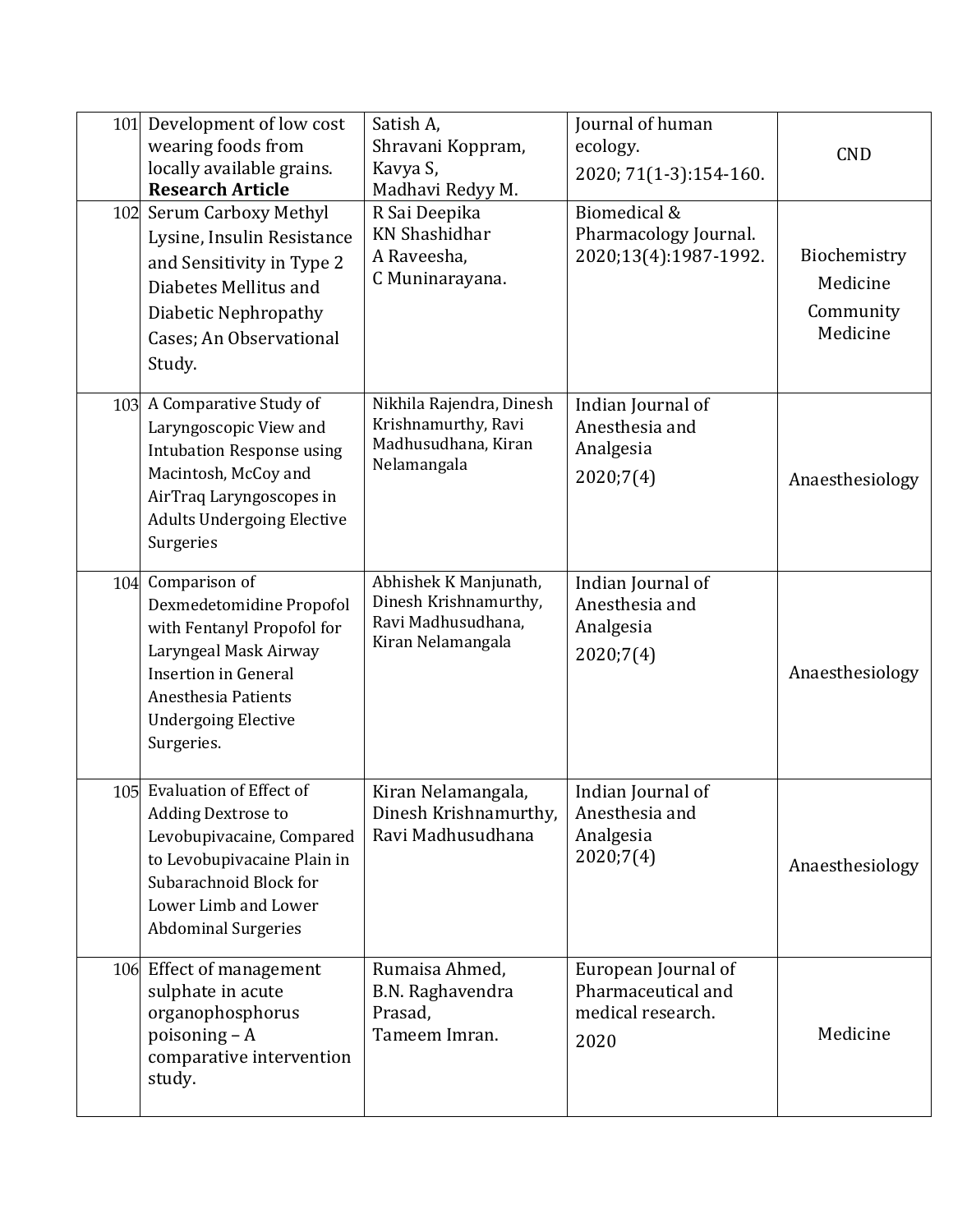| 101 | Development of low cost<br>wearing foods from<br>locally available grains.<br><b>Research Article</b>                                                                                              | Satish A,<br>Shravani Koppram,<br>Kavya S,<br>Madhavi Redyy M.                            | Journal of human<br>ecology.<br>2020; 71(1-3):154-160.                 | <b>CND</b>                                        |
|-----|----------------------------------------------------------------------------------------------------------------------------------------------------------------------------------------------------|-------------------------------------------------------------------------------------------|------------------------------------------------------------------------|---------------------------------------------------|
| 102 | <b>Serum Carboxy Methyl</b><br>Lysine, Insulin Resistance<br>and Sensitivity in Type 2<br>Diabetes Mellitus and<br>Diabetic Nephropathy<br>Cases; An Observational<br>Study.                       | R Sai Deepika<br><b>KN</b> Shashidhar<br>A Raveesha,<br>C Muninarayana.                   | Biomedical &<br>Pharmacology Journal.<br>2020;13(4):1987-1992.         | Biochemistry<br>Medicine<br>Community<br>Medicine |
|     | 103 A Comparative Study of<br>Laryngoscopic View and<br><b>Intubation Response using</b><br>Macintosh, McCoy and<br>AirTraq Laryngoscopes in<br><b>Adults Undergoing Elective</b><br>Surgeries     | Nikhila Rajendra, Dinesh<br>Krishnamurthy, Ravi<br>Madhusudhana, Kiran<br>Nelamangala     | Indian Journal of<br>Anesthesia and<br>Analgesia<br>2020;7(4)          | Anaesthesiology                                   |
| 104 | Comparison of<br>Dexmedetomidine Propofol<br>with Fentanyl Propofol for<br>Laryngeal Mask Airway<br><b>Insertion in General</b><br>Anesthesia Patients<br><b>Undergoing Elective</b><br>Surgeries. | Abhishek K Manjunath,<br>Dinesh Krishnamurthy,<br>Ravi Madhusudhana,<br>Kiran Nelamangala | Indian Journal of<br>Anesthesia and<br>Analgesia<br>2020;7(4)          | Anaesthesiology                                   |
| 105 | <b>Evaluation of Effect of</b><br>Adding Dextrose to<br>Levobupivacaine, Compared<br>to Levobupivacaine Plain in<br>Subarachnoid Block for<br>Lower Limb and Lower<br><b>Abdominal Surgeries</b>   | Kiran Nelamangala,<br>Dinesh Krishnamurthy,<br>Ravi Madhusudhana                          | Indian Journal of<br>Anesthesia and<br>Analgesia<br>2020;7(4)          | Anaesthesiology                                   |
|     | 106 Effect of management<br>sulphate in acute<br>organophosphorus<br>poisoning $-A$<br>comparative intervention<br>study.                                                                          | Rumaisa Ahmed,<br>B.N. Raghavendra<br>Prasad,<br>Tameem Imran.                            | European Journal of<br>Pharmaceutical and<br>medical research.<br>2020 | Medicine                                          |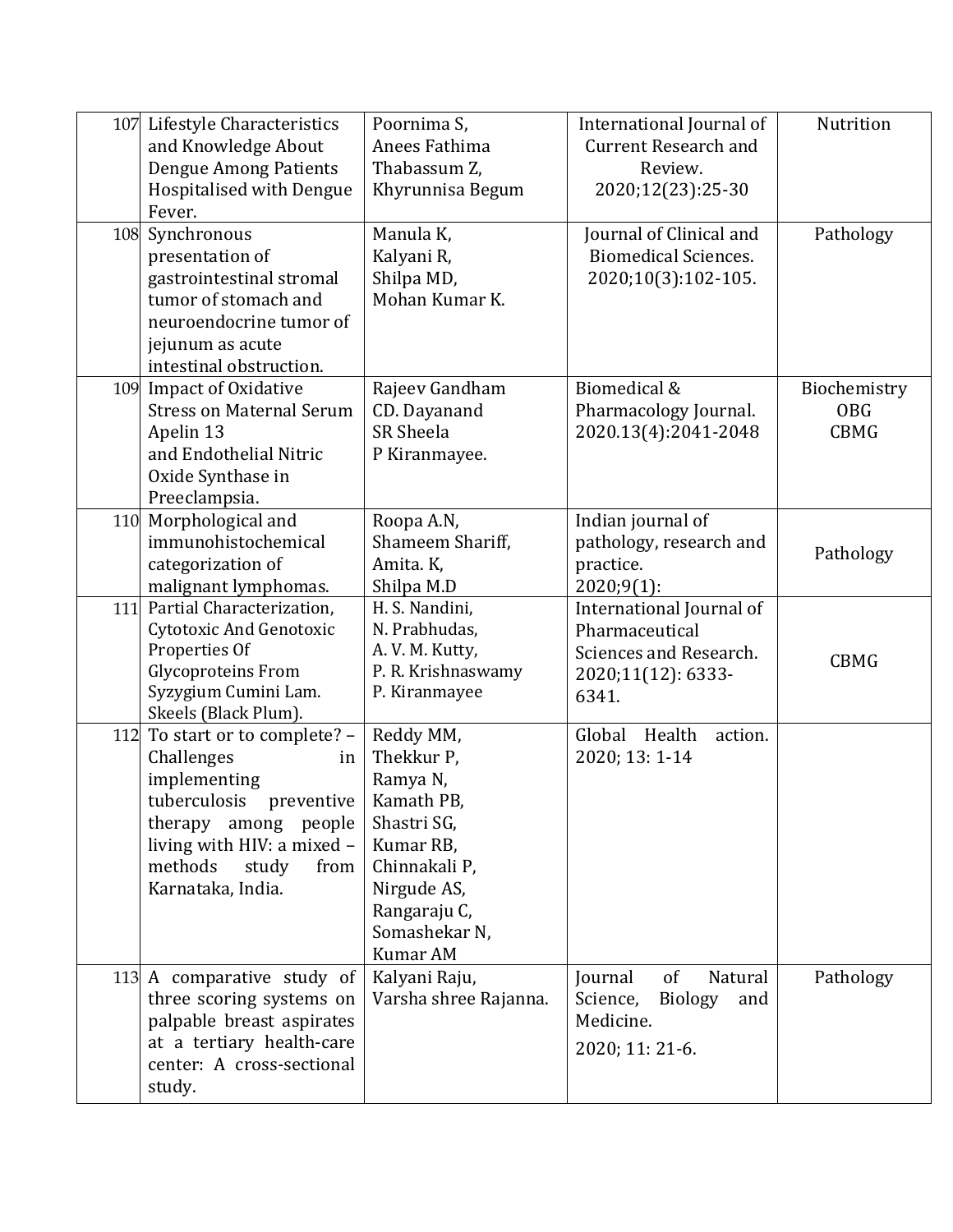|     | 107 Lifestyle Characteristics<br>and Knowledge About<br><b>Dengue Among Patients</b><br>Hospitalised with Dengue<br>Fever.                                                                          | Poornima S,<br>Anees Fathima<br>Thabassum Z,<br>Khyrunnisa Begum                                                                                                  | International Journal of<br><b>Current Research and</b><br>Review.<br>2020;12(23):25-30             | Nutrition                                 |
|-----|-----------------------------------------------------------------------------------------------------------------------------------------------------------------------------------------------------|-------------------------------------------------------------------------------------------------------------------------------------------------------------------|-----------------------------------------------------------------------------------------------------|-------------------------------------------|
| 108 | Synchronous<br>presentation of<br>gastrointestinal stromal<br>tumor of stomach and<br>neuroendocrine tumor of<br>jejunum as acute<br>intestinal obstruction.                                        | Manula K,<br>Kalyani R,<br>Shilpa MD,<br>Mohan Kumar K.                                                                                                           | Journal of Clinical and<br><b>Biomedical Sciences.</b><br>2020;10(3):102-105.                       | Pathology                                 |
|     | 109 Impact of Oxidative<br><b>Stress on Maternal Serum</b><br>Apelin 13<br>and Endothelial Nitric<br>Oxide Synthase in<br>Preeclampsia.                                                             | Rajeev Gandham<br>CD. Dayanand<br><b>SR Sheela</b><br>P Kiranmayee.                                                                                               | Biomedical &<br>Pharmacology Journal.<br>2020.13(4):2041-2048                                       | Biochemistry<br><b>OBG</b><br><b>CBMG</b> |
| 110 | Morphological and<br>immunohistochemical<br>categorization of<br>malignant lymphomas.                                                                                                               | Roopa A.N,<br>Shameem Shariff,<br>Amita. K,<br>Shilpa M.D                                                                                                         | Indian journal of<br>pathology, research and<br>practice.<br>$2020;9(1)$ :                          | Pathology                                 |
| 111 | Partial Characterization,<br>Cytotoxic And Genotoxic<br>Properties Of<br><b>Glycoproteins From</b><br>Syzygium Cumini Lam.<br>Skeels (Black Plum).                                                  | H. S. Nandini,<br>N. Prabhudas,<br>A. V. M. Kutty,<br>P. R. Krishnaswamy<br>P. Kiranmayee                                                                         | International Journal of<br>Pharmaceutical<br>Sciences and Research.<br>2020;11(12): 6333-<br>6341. | <b>CBMG</b>                               |
| 112 | To start or to complete? -<br>Challenges<br>in<br>implementing<br>tuberculosis<br>preventive<br>therapy among people<br>living with HIV: a mixed -<br>methods<br>study<br>from<br>Karnataka, India. | Reddy MM,<br>Thekkur P,<br>Ramya N,<br>Kamath PB,<br>Shastri SG,<br>Kumar RB,<br>Chinnakali P,<br>Nirgude AS,<br>Rangaraju C,<br>Somashekar N,<br><b>Kumar AM</b> | Global<br>Health<br>action.<br>2020; 13: 1-14                                                       |                                           |
|     | 113 A comparative study of<br>three scoring systems on<br>palpable breast aspirates<br>at a tertiary health-care<br>center: A cross-sectional<br>study.                                             | Kalyani Raju,<br>Varsha shree Rajanna.                                                                                                                            | of<br>Journal<br>Natural<br>Science,<br><b>Biology</b><br>and<br>Medicine.<br>2020; 11: 21-6.       | Pathology                                 |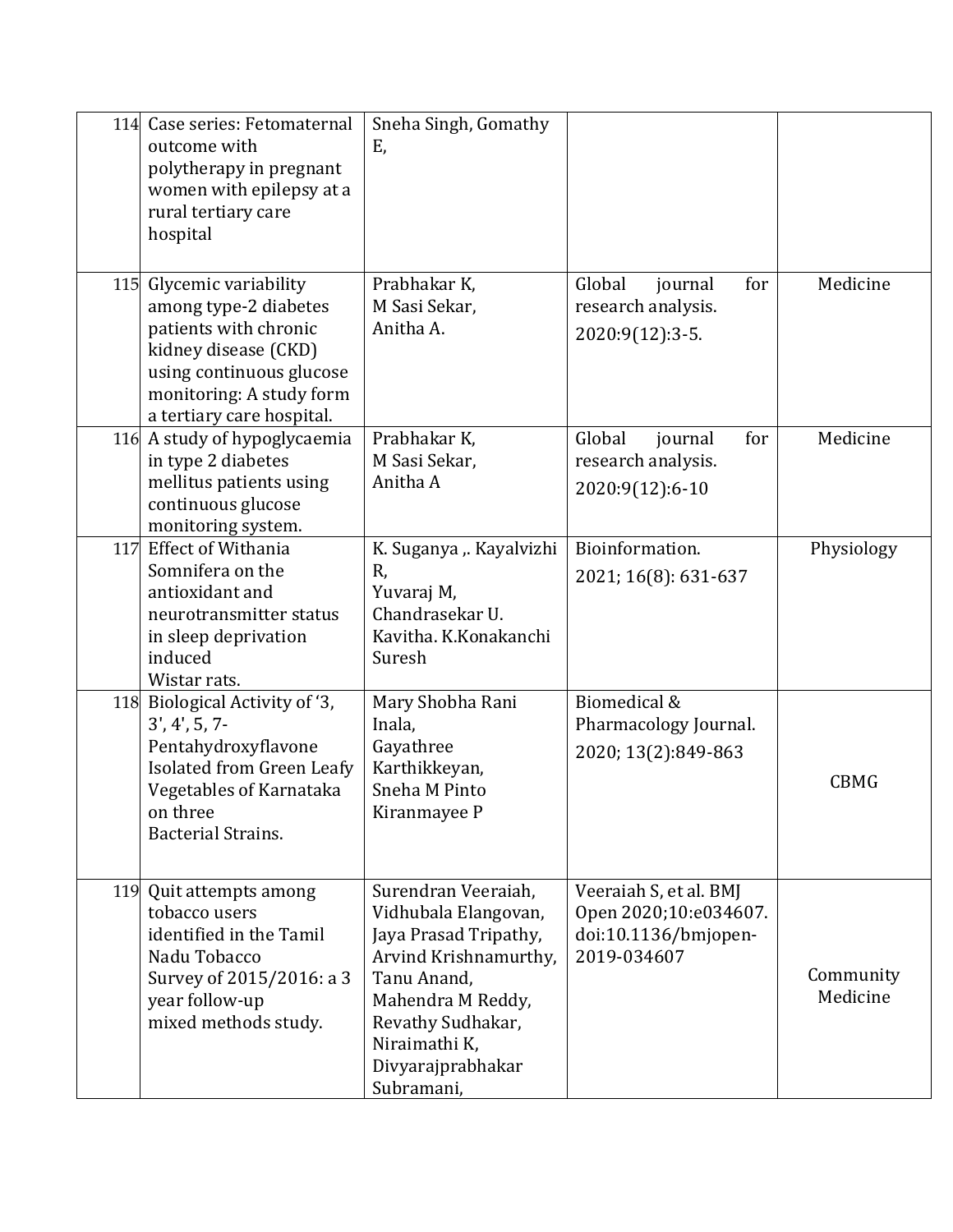| 114 | Case series: Fetomaternal<br>outcome with<br>polytherapy in pregnant<br>women with epilepsy at a<br>rural tertiary care<br>hospital                                                     | Sneha Singh, Gomathy<br>Ε,                                                                                                                                                                                 |                                                                                        |                       |
|-----|-----------------------------------------------------------------------------------------------------------------------------------------------------------------------------------------|------------------------------------------------------------------------------------------------------------------------------------------------------------------------------------------------------------|----------------------------------------------------------------------------------------|-----------------------|
|     | 115 Glycemic variability<br>among type-2 diabetes<br>patients with chronic<br>kidney disease (CKD)<br>using continuous glucose<br>monitoring: A study form<br>a tertiary care hospital. | Prabhakar K,<br>M Sasi Sekar.<br>Anitha A.                                                                                                                                                                 | Global<br>journal<br>for<br>research analysis.<br>2020:9(12):3-5.                      | Medicine              |
|     | 116 A study of hypoglycaemia<br>in type 2 diabetes<br>mellitus patients using<br>continuous glucose<br>monitoring system.                                                               | Prabhakar K,<br>M Sasi Sekar,<br>Anitha A                                                                                                                                                                  | Global<br>for<br>journal<br>research analysis.<br>2020:9(12):6-10                      | Medicine              |
| 117 | <b>Effect of Withania</b><br>Somnifera on the<br>antioxidant and<br>neurotransmitter status<br>in sleep deprivation<br>induced<br>Wistar rats.                                          | K. Suganya ,. Kayalvizhi<br>R,<br>Yuvaraj M,<br>Chandrasekar U.<br>Kavitha. K.Konakanchi<br>Suresh                                                                                                         | Bioinformation.<br>2021; 16(8): 631-637                                                | Physiology            |
|     | 118 Biological Activity of '3,<br>$3', 4', 5, 7-$<br>Pentahydroxyflavone<br>Isolated from Green Leafy<br>Vegetables of Karnataka<br>on three<br><b>Bacterial Strains.</b>               | Mary Shobha Rani<br>Inala,<br>Gayathree<br>Karthikkeyan,<br>Sneha M Pinto<br>Kiranmayee P                                                                                                                  | Biomedical &<br>Pharmacology Journal.<br>2020; 13(2):849-863                           | <b>CBMG</b>           |
|     | 119 Quit attempts among<br>tobacco users<br>identified in the Tamil<br>Nadu Tobacco<br>Survey of 2015/2016: a 3<br>year follow-up<br>mixed methods study.                               | Surendran Veeraiah,<br>Vidhubala Elangovan,<br>Jaya Prasad Tripathy,<br>Arvind Krishnamurthy,<br>Tanu Anand,<br>Mahendra M Reddy,<br>Revathy Sudhakar,<br>Niraimathi K,<br>Divyarajprabhakar<br>Subramani, | Veeraiah S, et al. BMJ<br>Open 2020;10:e034607.<br>doi:10.1136/bmjopen-<br>2019-034607 | Community<br>Medicine |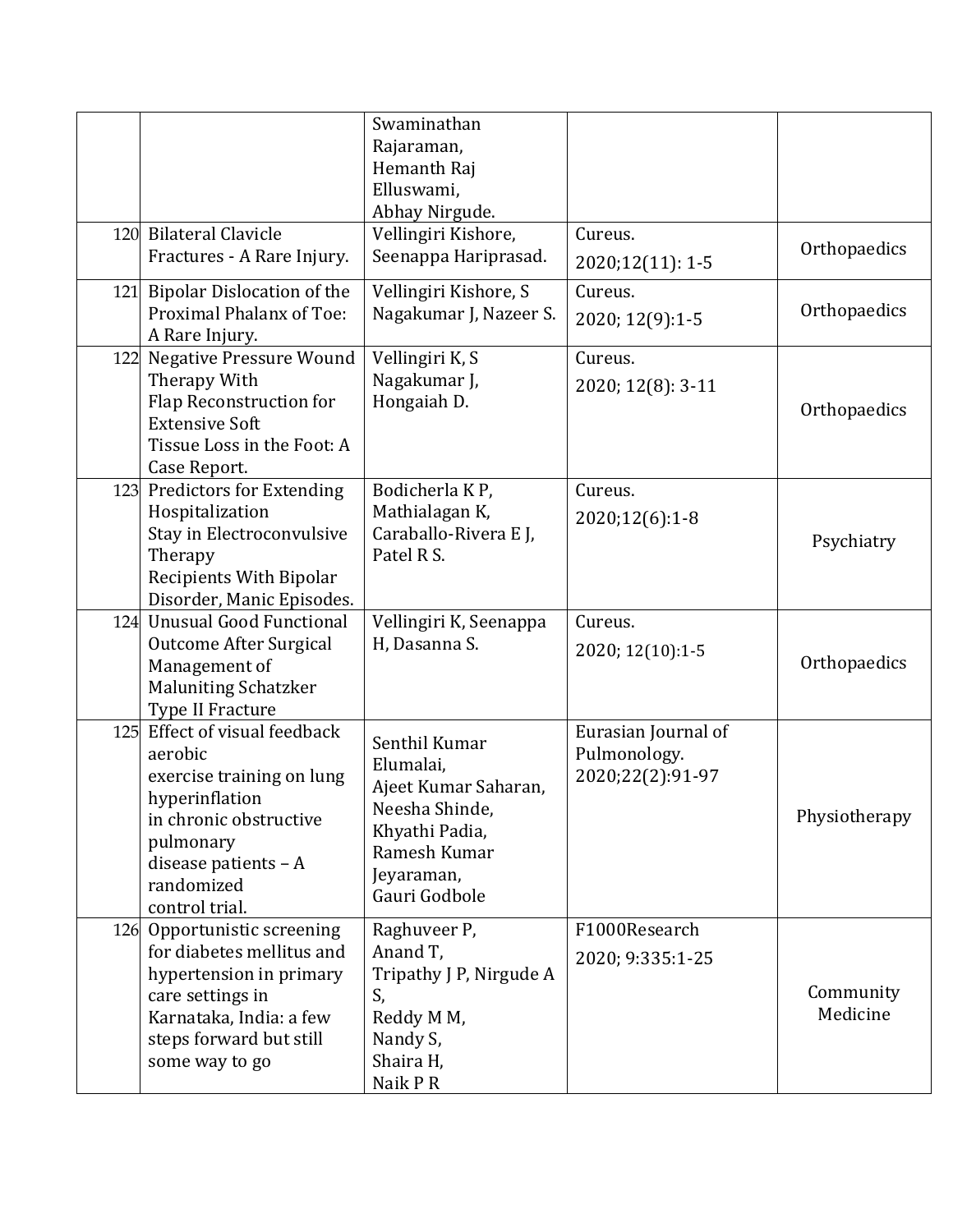|     | 120 Bilateral Clavicle                                                                                                                                                             | Swaminathan<br>Rajaraman,<br>Hemanth Raj<br>Elluswami,<br>Abhay Nirgude.<br>Vellingiri Kishore,                                       | Cureus.                                                 |                       |
|-----|------------------------------------------------------------------------------------------------------------------------------------------------------------------------------------|---------------------------------------------------------------------------------------------------------------------------------------|---------------------------------------------------------|-----------------------|
|     | Fractures - A Rare Injury.                                                                                                                                                         | Seenappa Hariprasad.                                                                                                                  | 2020;12(11): 1-5                                        | Orthopaedics          |
| 121 | <b>Bipolar Dislocation of the</b><br>Proximal Phalanx of Toe:<br>A Rare Injury.                                                                                                    | Vellingiri Kishore, S<br>Nagakumar J, Nazeer S.                                                                                       | Cureus.<br>2020; 12(9):1-5                              | Orthopaedics          |
| 122 | <b>Negative Pressure Wound</b><br>Therapy With<br>Flap Reconstruction for<br><b>Extensive Soft</b><br>Tissue Loss in the Foot: A<br>Case Report.                                   | Vellingiri K, S<br>Nagakumar J,<br>Hongaiah D.                                                                                        | Cureus.<br>2020; 12(8): 3-11                            | Orthopaedics          |
|     | 123 Predictors for Extending<br>Hospitalization<br>Stay in Electroconvulsive<br>Therapy<br><b>Recipients With Bipolar</b><br>Disorder, Manic Episodes.                             | Bodicherla KP,<br>Mathialagan K,<br>Caraballo-Rivera E J,<br>Patel R S.                                                               | Cureus.<br>2020;12(6):1-8                               | Psychiatry            |
| 124 | <b>Unusual Good Functional</b><br>Outcome After Surgical<br>Management of<br><b>Maluniting Schatzker</b><br>Type II Fracture                                                       | Vellingiri K, Seenappa<br>H, Dasanna S.                                                                                               | Cureus.<br>2020; 12(10):1-5                             | Orthopaedics          |
| 125 | Effect of visual feedback<br>aerobic<br>exercise training on lung<br>hyperinflation<br>in chronic obstructive<br>pulmonary<br>disease patients - A<br>randomized<br>control trial. | Senthil Kumar<br>Elumalai,<br>Ajeet Kumar Saharan,<br>Neesha Shinde,<br>Khyathi Padia,<br>Ramesh Kumar<br>Jeyaraman,<br>Gauri Godbole | Eurasian Journal of<br>Pulmonology.<br>2020;22(2):91-97 | Physiotherapy         |
|     | 126 Opportunistic screening<br>for diabetes mellitus and<br>hypertension in primary<br>care settings in<br>Karnataka, India: a few<br>steps forward but still<br>some way to go    | Raghuveer P,<br>Anand T,<br>Tripathy J P, Nirgude A<br>S,<br>Reddy M M,<br>Nandy S,<br>Shaira H,<br>Naik P R                          | F1000Research<br>2020; 9:335:1-25                       | Community<br>Medicine |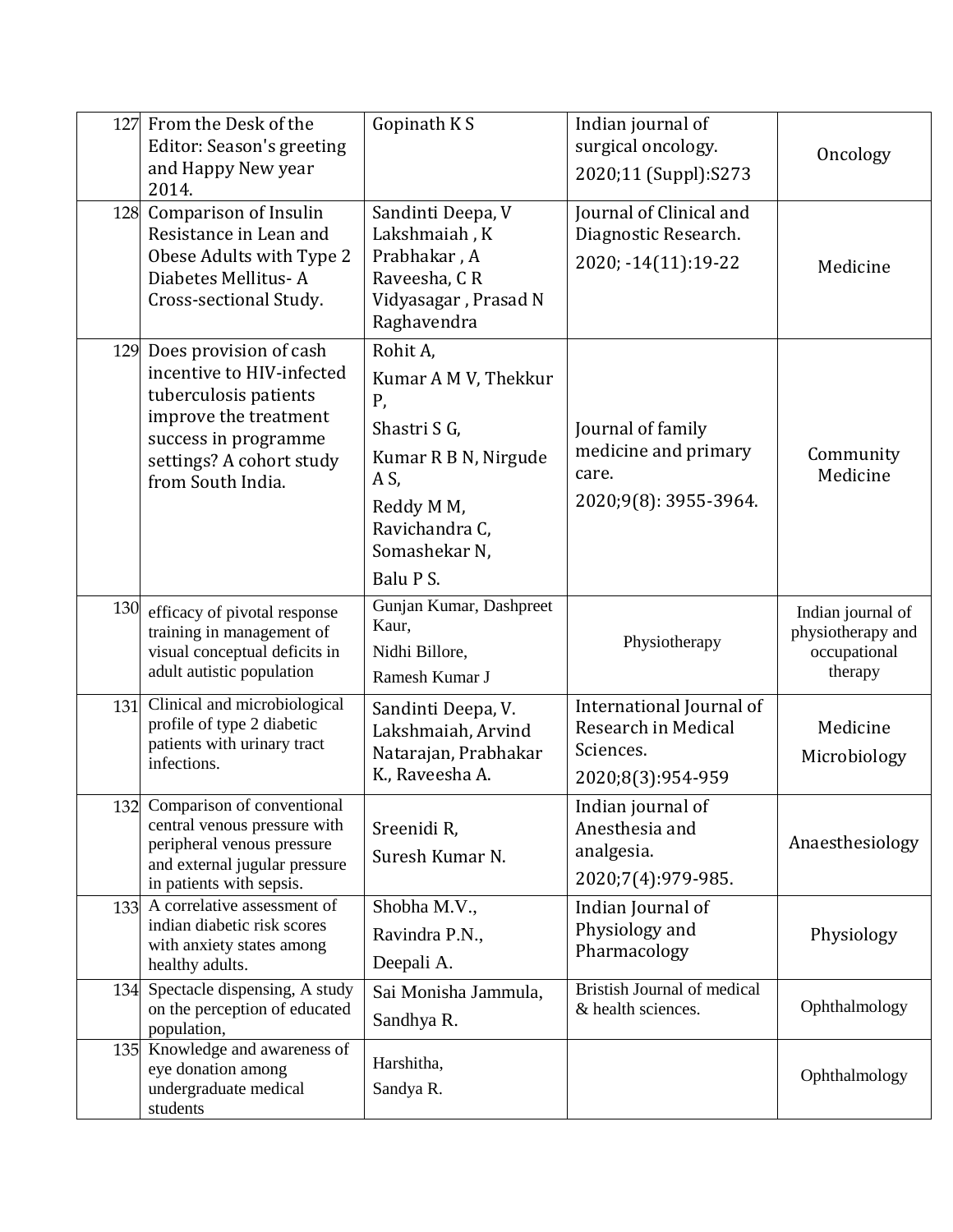| 127 | From the Desk of the<br>Editor: Season's greeting<br>and Happy New year<br>2014.                                                                                                   | Gopinath KS                                                                                                                                          | Indian journal of<br>surgical oncology.<br>2020;11 (Suppl):S273                   | Oncology                                                          |
|-----|------------------------------------------------------------------------------------------------------------------------------------------------------------------------------------|------------------------------------------------------------------------------------------------------------------------------------------------------|-----------------------------------------------------------------------------------|-------------------------------------------------------------------|
| 128 | Comparison of Insulin<br>Resistance in Lean and<br>Obese Adults with Type 2<br>Diabetes Mellitus-A<br>Cross-sectional Study.                                                       | Sandinti Deepa, V<br>Lakshmaiah, K<br>Prabhakar, A<br>Raveesha, CR<br>Vidyasagar, Prasad N<br>Raghavendra                                            | Journal of Clinical and<br>Diagnostic Research.<br>2020; -14(11):19-22            | Medicine                                                          |
|     | 129 Does provision of cash<br>incentive to HIV-infected<br>tuberculosis patients<br>improve the treatment<br>success in programme<br>settings? A cohort study<br>from South India. | Rohit A,<br>Kumar A M V, Thekkur<br>Ρ,<br>Shastri S G,<br>Kumar R B N, Nirgude<br>A S,<br>Reddy M M,<br>Ravichandra C,<br>Somashekar N,<br>Balu P S. | Journal of family<br>medicine and primary<br>care.<br>2020;9(8): 3955-3964.       | Community<br>Medicine                                             |
| 130 | efficacy of pivotal response<br>training in management of<br>visual conceptual deficits in<br>adult autistic population                                                            | Gunjan Kumar, Dashpreet<br>Kaur,<br>Nidhi Billore,<br>Ramesh Kumar J                                                                                 | Physiotherapy                                                                     | Indian journal of<br>physiotherapy and<br>occupational<br>therapy |
| 131 | Clinical and microbiological<br>profile of type 2 diabetic<br>patients with urinary tract<br>infections.                                                                           | Sandinti Deepa, V.<br>Lakshmaiah, Arvind<br>Natarajan, Prabhakar<br>K., Raveesha A.                                                                  | International Journal of<br>Research in Medical<br>Sciences.<br>2020;8(3):954-959 | Medicine<br>Microbiology                                          |
|     | 132 Comparison of conventional<br>central venous pressure with<br>peripheral venous pressure<br>and external jugular pressure<br>in patients with sepsis.                          | Sreenidi R,<br>Suresh Kumar N.                                                                                                                       | Indian journal of<br>Anesthesia and<br>analgesia.<br>2020;7(4):979-985.           | Anaesthesiology                                                   |
| 133 | A correlative assessment of<br>indian diabetic risk scores<br>with anxiety states among<br>healthy adults.                                                                         | Shobha M.V.,<br>Ravindra P.N.,<br>Deepali A.                                                                                                         | Indian Journal of<br>Physiology and<br>Pharmacology                               | Physiology                                                        |
| 134 | Spectacle dispensing, A study<br>on the perception of educated<br>population,                                                                                                      | Sai Monisha Jammula,<br>Sandhya R.                                                                                                                   | Bristish Journal of medical<br>& health sciences.                                 | Ophthalmology                                                     |
|     | 135 Knowledge and awareness of<br>eye donation among<br>undergraduate medical<br>students                                                                                          | Harshitha,<br>Sandya R.                                                                                                                              |                                                                                   | Ophthalmology                                                     |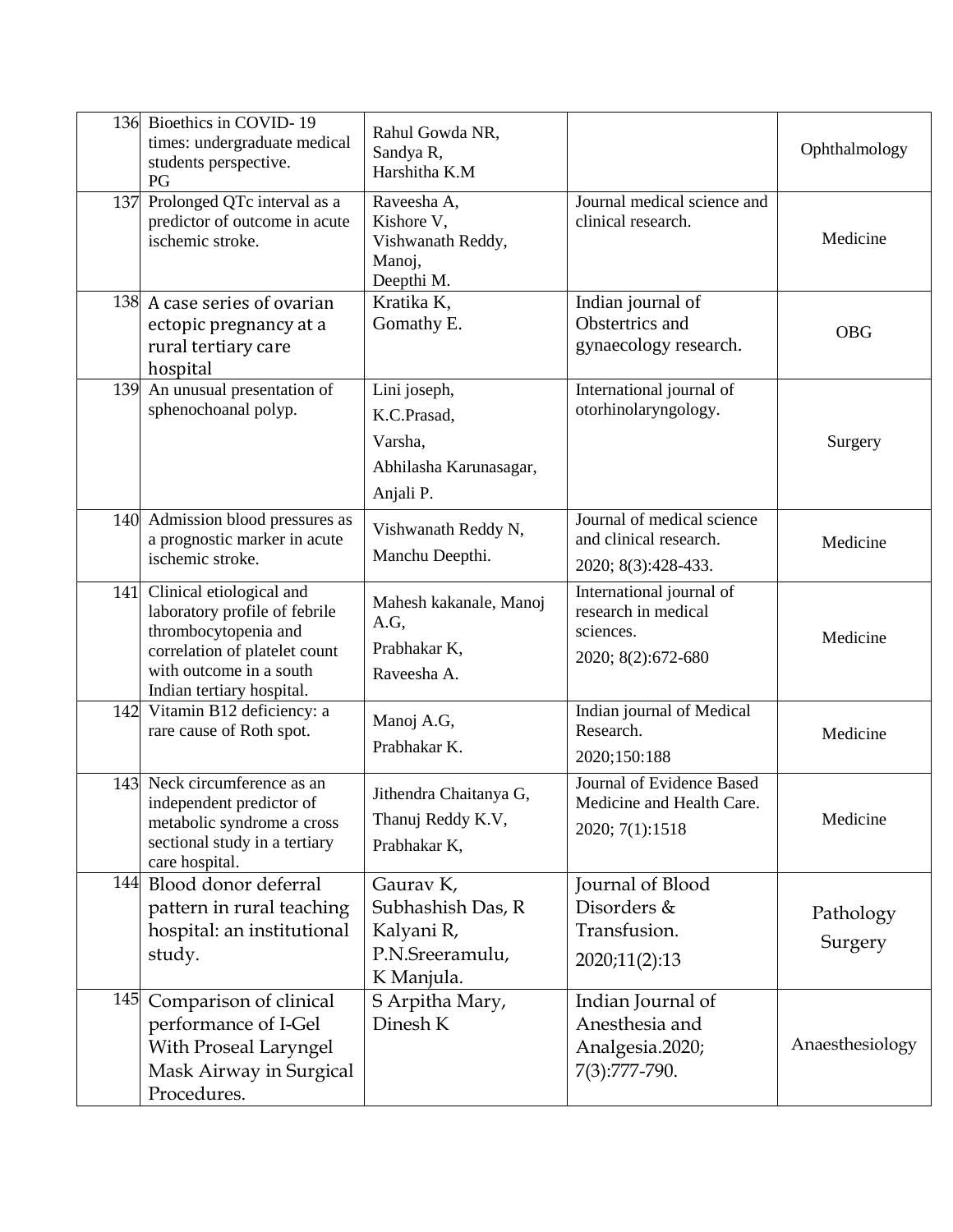| 136 | Bioethics in COVID-19<br>times: undergraduate medical<br>students perspective.<br>PG                                                                                       | Rahul Gowda NR,<br>Sandya R,<br>Harshitha K.M                                 |                                                                                    | Ophthalmology        |
|-----|----------------------------------------------------------------------------------------------------------------------------------------------------------------------------|-------------------------------------------------------------------------------|------------------------------------------------------------------------------------|----------------------|
| 137 | Prolonged QTc interval as a<br>predictor of outcome in acute<br>ischemic stroke.                                                                                           | Raveesha A,<br>Kishore V,<br>Vishwanath Reddy,<br>Manoj,<br>Deepthi M.        | Journal medical science and<br>clinical research.                                  | Medicine             |
|     | 138 A case series of ovarian<br>ectopic pregnancy at a<br>rural tertiary care<br>hospital                                                                                  | Kratika K,<br>Gomathy E.                                                      | Indian journal of<br>Obstertrics and<br>gynaecology research.                      | <b>OBG</b>           |
| 139 | An unusual presentation of<br>sphenochoanal polyp.                                                                                                                         | Lini joseph,<br>K.C.Prasad,<br>Varsha,<br>Abhilasha Karunasagar,<br>Anjali P. | International journal of<br>otorhinolaryngology.                                   | Surgery              |
|     | 140 Admission blood pressures as<br>a prognostic marker in acute<br>ischemic stroke.                                                                                       | Vishwanath Reddy N,<br>Manchu Deepthi.                                        | Journal of medical science<br>and clinical research.<br>2020; 8(3):428-433.        | Medicine             |
| 141 | Clinical etiological and<br>laboratory profile of febrile<br>thrombocytopenia and<br>correlation of platelet count<br>with outcome in a south<br>Indian tertiary hospital. | Mahesh kakanale, Manoj<br>A.G,<br>Prabhakar K,<br>Raveesha A.                 | International journal of<br>research in medical<br>sciences.<br>2020; 8(2):672-680 | Medicine             |
| 142 | Vitamin B12 deficiency: a<br>rare cause of Roth spot.                                                                                                                      | Manoj A.G,<br>Prabhakar K.                                                    | Indian journal of Medical<br>Research.<br>2020;150:188                             | Medicine             |
| 143 | Neck circumference as an<br>independent predictor of<br>metabolic syndrome a cross<br>sectional study in a tertiary<br>care hospital.                                      | Jithendra Chaitanya G,<br>Thanuj Reddy K.V,<br>Prabhakar K,                   | Journal of Evidence Based<br>Medicine and Health Care.<br>2020; 7(1):1518          | Medicine             |
| 144 | Blood donor deferral<br>pattern in rural teaching<br>hospital: an institutional<br>study.                                                                                  | Gaurav K,<br>Subhashish Das, R<br>Kalyani R,<br>P.N.Sreeramulu,<br>K Manjula. | Journal of Blood<br>Disorders &<br>Transfusion.<br>2020;11(2):13                   | Pathology<br>Surgery |
| 145 | Comparison of clinical<br>performance of I-Gel<br>With Proseal Laryngel<br>Mask Airway in Surgical<br>Procedures.                                                          | S Arpitha Mary,<br>Dinesh K                                                   | Indian Journal of<br>Anesthesia and<br>Analgesia.2020;<br>7(3):777-790.            | Anaesthesiology      |